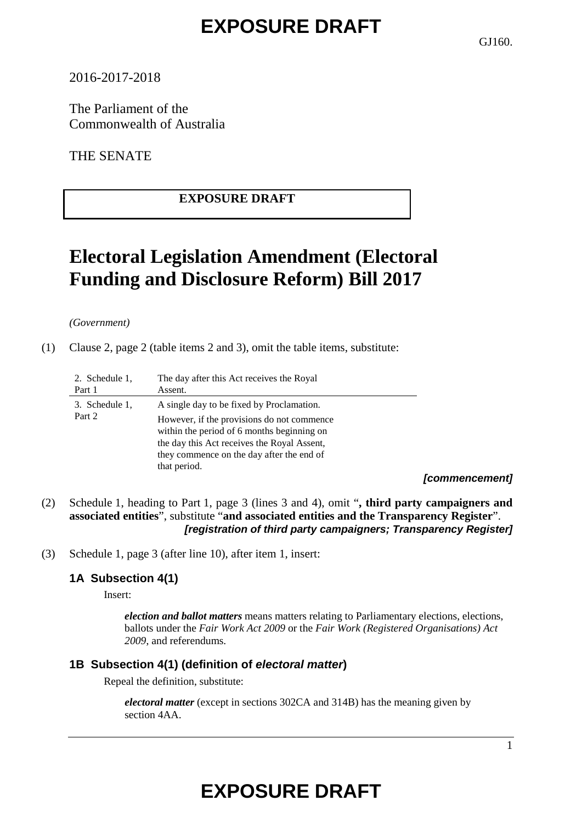GJ160.

## 2016-2017-2018

The Parliament of the Commonwealth of Australia

THE SENATE

# **EXPOSURE DRAFT**

# **Electoral Legislation Amendment (Electoral Funding and Disclosure Reform) Bill 2017**

*(Government)*

(1) Clause 2, page 2 (table items 2 and 3), omit the table items, substitute:

| 2. Schedule 1,<br>Part 1 | The day after this Act receives the Royal<br>Assent.                                                                                                                                                                                               |                  |
|--------------------------|----------------------------------------------------------------------------------------------------------------------------------------------------------------------------------------------------------------------------------------------------|------------------|
| 3. Schedule 1,<br>Part 2 | A single day to be fixed by Proclamation.<br>However, if the provisions do not commence.<br>within the period of 6 months beginning on<br>the day this Act receives the Royal Assent,<br>they commence on the day after the end of<br>that period. | <i>L</i> aamamar |

*[commencement]*

- (2) Schedule 1, heading to Part 1, page 3 (lines 3 and 4), omit "**, third party campaigners and associated entities**", substitute "**and associated entities and the Transparency Register**". *[registration of third party campaigners; Transparency Register]*
- (3) Schedule 1, page 3 (after line 10), after item 1, insert:

# **1A Subsection 4(1)**

Insert:

*election and ballot matters* means matters relating to Parliamentary elections, elections, ballots under the *Fair Work Act 2009* or the *Fair Work (Registered Organisations) Act 2009*, and referendums.

## **1B Subsection 4(1) (definition of** *electoral matter***)**

Repeal the definition, substitute:

*electoral matter* (except in sections 302CA and 314B) has the meaning given by section 4AA.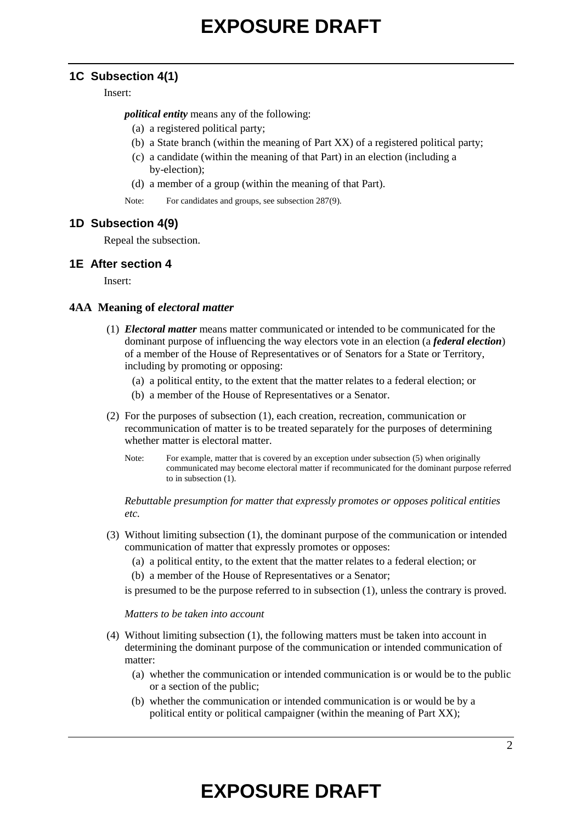### **1C Subsection 4(1)**

Insert:

*political entity* means any of the following:

- (a) a registered political party;
- (b) a State branch (within the meaning of Part XX) of a registered political party;
- (c) a candidate (within the meaning of that Part) in an election (including a by-election);
- (d) a member of a group (within the meaning of that Part).
- Note: For candidates and groups, see subsection 287(9).

### **1D Subsection 4(9)**

Repeal the subsection.

### **1E After section 4**

Insert:

### **4AA Meaning of** *electoral matter*

- (1) *Electoral matter* means matter communicated or intended to be communicated for the dominant purpose of influencing the way electors vote in an election (a *federal election*) of a member of the House of Representatives or of Senators for a State or Territory, including by promoting or opposing:
	- (a) a political entity, to the extent that the matter relates to a federal election; or
	- (b) a member of the House of Representatives or a Senator.
- (2) For the purposes of subsection (1), each creation, recreation, communication or recommunication of matter is to be treated separately for the purposes of determining whether matter is electoral matter.
	- Note: For example, matter that is covered by an exception under subsection (5) when originally communicated may become electoral matter if recommunicated for the dominant purpose referred to in subsection (1).

*Rebuttable presumption for matter that expressly promotes or opposes political entities etc.*

- (3) Without limiting subsection (1), the dominant purpose of the communication or intended communication of matter that expressly promotes or opposes:
	- (a) a political entity, to the extent that the matter relates to a federal election; or
	- (b) a member of the House of Representatives or a Senator;

is presumed to be the purpose referred to in subsection (1), unless the contrary is proved.

#### *Matters to be taken into account*

- (4) Without limiting subsection (1), the following matters must be taken into account in determining the dominant purpose of the communication or intended communication of matter:
	- (a) whether the communication or intended communication is or would be to the public or a section of the public;
	- (b) whether the communication or intended communication is or would be by a political entity or political campaigner (within the meaning of Part XX);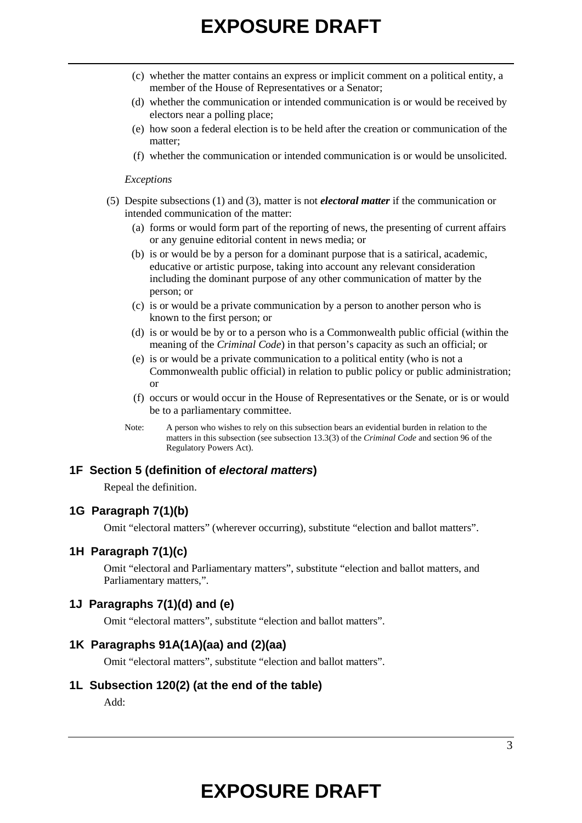- (c) whether the matter contains an express or implicit comment on a political entity, a member of the House of Representatives or a Senator;
- (d) whether the communication or intended communication is or would be received by electors near a polling place;
- (e) how soon a federal election is to be held after the creation or communication of the matter;
- (f) whether the communication or intended communication is or would be unsolicited.

#### *Exceptions*

- (5) Despite subsections (1) and (3), matter is not *electoral matter* if the communication or intended communication of the matter:
	- (a) forms or would form part of the reporting of news, the presenting of current affairs or any genuine editorial content in news media; or
	- (b) is or would be by a person for a dominant purpose that is a satirical, academic, educative or artistic purpose, taking into account any relevant consideration including the dominant purpose of any other communication of matter by the person; or
	- (c) is or would be a private communication by a person to another person who is known to the first person; or
	- (d) is or would be by or to a person who is a Commonwealth public official (within the meaning of the *Criminal Code*) in that person's capacity as such an official; or
	- (e) is or would be a private communication to a political entity (who is not a Commonwealth public official) in relation to public policy or public administration; or
	- (f) occurs or would occur in the House of Representatives or the Senate, or is or would be to a parliamentary committee.
	- Note: A person who wishes to rely on this subsection bears an evidential burden in relation to the matters in this subsection (see subsection 13.3(3) of the *Criminal Code* and section 96 of the Regulatory Powers Act).

#### **1F Section 5 (definition of** *electoral matters***)**

Repeal the definition.

### **1G Paragraph 7(1)(b)**

Omit "electoral matters" (wherever occurring), substitute "election and ballot matters".

### **1H Paragraph 7(1)(c)**

Omit "electoral and Parliamentary matters", substitute "election and ballot matters, and Parliamentary matters,".

### **1J Paragraphs 7(1)(d) and (e)**

Omit "electoral matters", substitute "election and ballot matters".

#### **1K Paragraphs 91A(1A)(aa) and (2)(aa)**

Omit "electoral matters", substitute "election and ballot matters".

#### **1L Subsection 120(2) (at the end of the table)**

Add: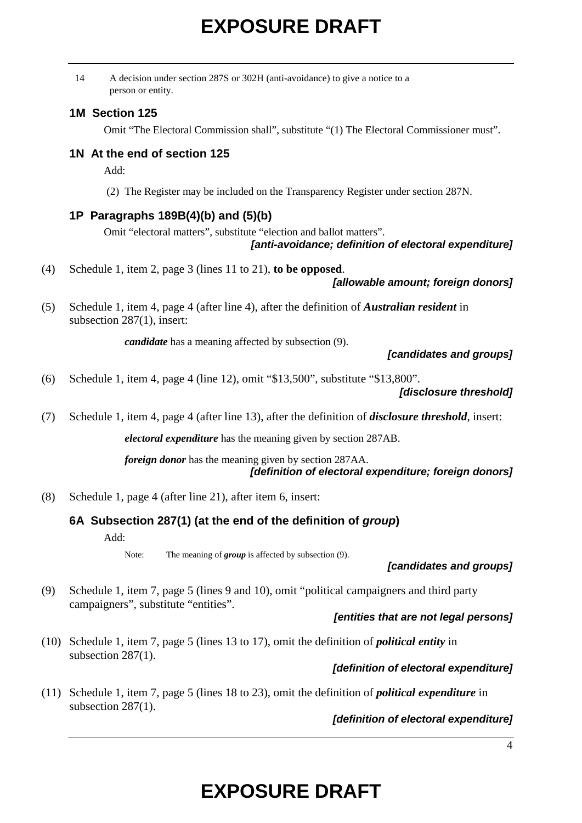|      | A decision under section 287S or 302H (anti-avoidance) to give a notice to a<br>14<br>person or entity.                           |  |
|------|-----------------------------------------------------------------------------------------------------------------------------------|--|
|      | 1M Section 125                                                                                                                    |  |
|      | Omit "The Electoral Commission shall", substitute "(1) The Electoral Commissioner must".                                          |  |
|      | 1N At the end of section 125<br>Add:                                                                                              |  |
|      | (2) The Register may be included on the Transparency Register under section 287N.                                                 |  |
|      | 1P Paragraphs 189B(4)(b) and (5)(b)                                                                                               |  |
|      | Omit "electoral matters", substitute "election and ballot matters".<br>[anti-avoidance; definition of electoral expenditure]      |  |
| (4)  | Schedule 1, item 2, page 3 (lines 11 to 21), to be opposed.<br>[allowable amount; foreign donors]                                 |  |
| (5)  | Schedule 1, item 4, page 4 (after line 4), after the definition of <i>Australian resident</i> in<br>subsection $287(1)$ , insert: |  |
|      | <i>candidate</i> has a meaning affected by subsection (9).<br>[candidates and groups]                                             |  |
| (6)  | Schedule 1, item 4, page 4 (line 12), omit "\$13,500", substitute "\$13,800".<br>[disclosure threshold]                           |  |
| (7)  | Schedule 1, item 4, page 4 (after line 13), after the definition of <i>disclosure threshold</i> , insert:                         |  |
|      | <i>electoral expenditure</i> has the meaning given by section 287AB.                                                              |  |
|      | foreign donor has the meaning given by section 287AA.<br>[definition of electoral expenditure; foreign donors]                    |  |
| (8)  | Schedule 1, page 4 (after line 21), after item 6, insert:                                                                         |  |
|      | 6A Subsection 287(1) (at the end of the definition of group)<br>Add:                                                              |  |
|      | The meaning of $group$ is affected by subsection $(9)$ .<br>Note:<br>[candidates and groups]                                      |  |
| (9)  | Schedule 1, item 7, page 5 (lines 9 and 10), omit "political campaigners and third party<br>campaigners", substitute "entities".  |  |
|      | [entities that are not legal persons]                                                                                             |  |
| (10) | Schedule 1, item 7, page 5 (lines 13 to 17), omit the definition of <i>political entity</i> in<br>subsection $287(1)$ .           |  |

## *[definition of electoral expenditure]*

(11) Schedule 1, item 7, page 5 (lines 18 to 23), omit the definition of *political expenditure* in subsection 287(1).

## *[definition of electoral expenditure]*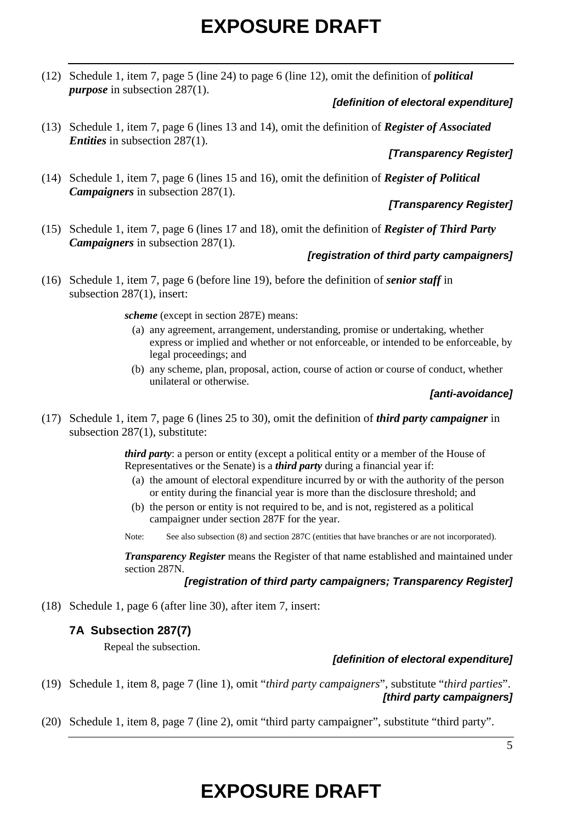(12) Schedule 1, item 7, page 5 (line 24) to page 6 (line 12), omit the definition of *political purpose* in subsection 287(1).

## *[definition of electoral expenditure]*

(13) Schedule 1, item 7, page 6 (lines 13 and 14), omit the definition of *Register of Associated Entities* in subsection 287(1).

## *[Transparency Register]*

(14) Schedule 1, item 7, page 6 (lines 15 and 16), omit the definition of *Register of Political Campaigners* in subsection 287(1).

## *[Transparency Register]*

(15) Schedule 1, item 7, page 6 (lines 17 and 18), omit the definition of *Register of Third Party Campaigners* in subsection 287(1).

### *[registration of third party campaigners]*

(16) Schedule 1, item 7, page 6 (before line 19), before the definition of *senior staff* in subsection 287(1), insert:

*scheme* (except in section 287E) means:

- (a) any agreement, arrangement, understanding, promise or undertaking, whether express or implied and whether or not enforceable, or intended to be enforceable, by legal proceedings; and
- (b) any scheme, plan, proposal, action, course of action or course of conduct, whether unilateral or otherwise.

### *[anti-avoidance]*

(17) Schedule 1, item 7, page 6 (lines 25 to 30), omit the definition of *third party campaigner* in subsection 287(1), substitute:

> *third party*: a person or entity (except a political entity or a member of the House of Representatives or the Senate) is a *third party* during a financial year if:

- (a) the amount of electoral expenditure incurred by or with the authority of the person or entity during the financial year is more than the disclosure threshold; and
- (b) the person or entity is not required to be, and is not, registered as a political campaigner under section 287F for the year.
- Note: See also subsection (8) and section 287C (entities that have branches or are not incorporated).

*Transparency Register* means the Register of that name established and maintained under section 287N.

### *[registration of third party campaigners; Transparency Register]*

(18) Schedule 1, page 6 (after line 30), after item 7, insert:

## **7A Subsection 287(7)**

Repeal the subsection.

## *[definition of electoral expenditure]*

- (19) Schedule 1, item 8, page 7 (line 1), omit "*third party campaigners*", substitute "*third parties*". *[third party campaigners]*
- (20) Schedule 1, item 8, page 7 (line 2), omit "third party campaigner", substitute "third party".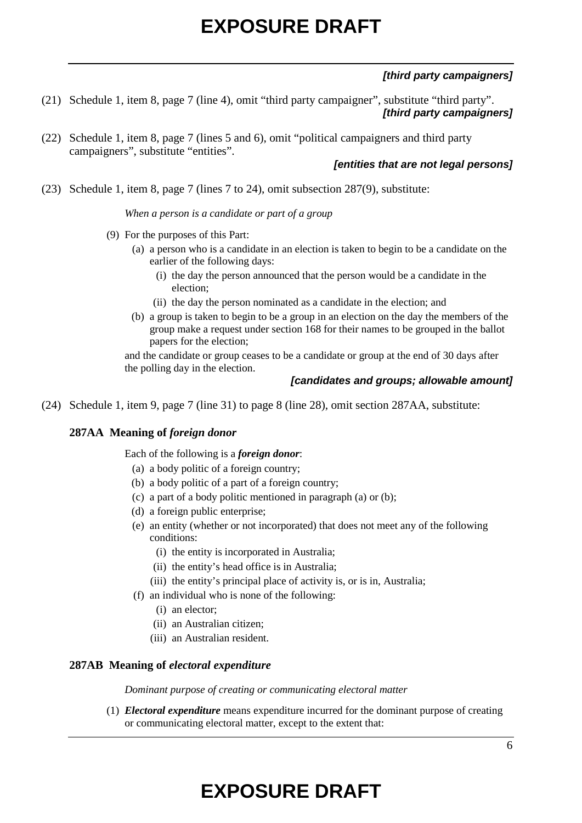## *[third party campaigners]*

- (21) Schedule 1, item 8, page 7 (line 4), omit "third party campaigner", substitute "third party". *[third party campaigners]*
- (22) Schedule 1, item 8, page 7 (lines 5 and 6), omit "political campaigners and third party campaigners", substitute "entities".

### *[entities that are not legal persons]*

(23) Schedule 1, item 8, page 7 (lines 7 to 24), omit subsection 287(9), substitute:

*When a person is a candidate or part of a group*

- (9) For the purposes of this Part:
	- (a) a person who is a candidate in an election is taken to begin to be a candidate on the earlier of the following days:
		- (i) the day the person announced that the person would be a candidate in the election;
		- (ii) the day the person nominated as a candidate in the election; and
	- (b) a group is taken to begin to be a group in an election on the day the members of the group make a request under section 168 for their names to be grouped in the ballot papers for the election;

and the candidate or group ceases to be a candidate or group at the end of 30 days after the polling day in the election.

### *[candidates and groups; allowable amount]*

(24) Schedule 1, item 9, page 7 (line 31) to page 8 (line 28), omit section 287AA, substitute:

#### **287AA Meaning of** *foreign donor*

Each of the following is a *foreign donor*:

- (a) a body politic of a foreign country;
- (b) a body politic of a part of a foreign country;
- (c) a part of a body politic mentioned in paragraph (a) or (b);
- (d) a foreign public enterprise;
- (e) an entity (whether or not incorporated) that does not meet any of the following conditions:
	- (i) the entity is incorporated in Australia;
	- (ii) the entity's head office is in Australia;
	- (iii) the entity's principal place of activity is, or is in, Australia;
- (f) an individual who is none of the following:
	- (i) an elector;
	- (ii) an Australian citizen;
	- (iii) an Australian resident.

#### **287AB Meaning of** *electoral expenditure*

*Dominant purpose of creating or communicating electoral matter*

(1) *Electoral expenditure* means expenditure incurred for the dominant purpose of creating or communicating electoral matter, except to the extent that: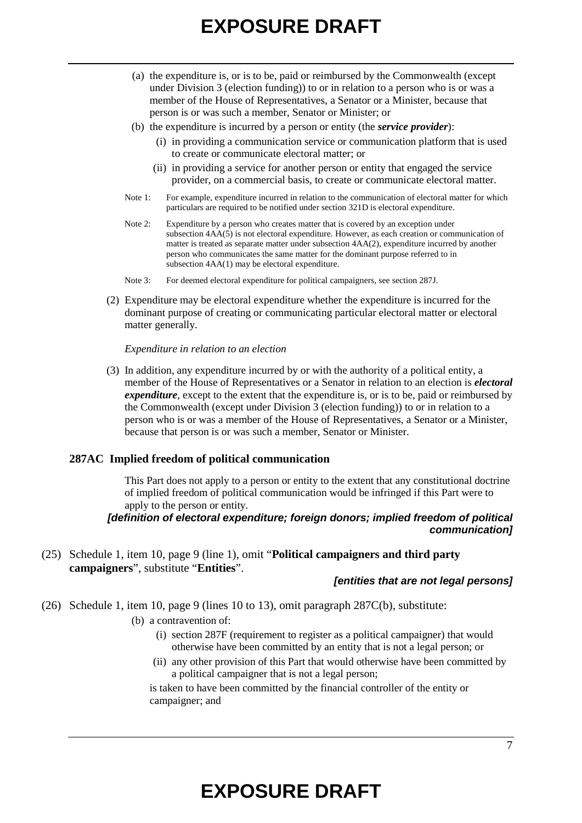- (a) the expenditure is, or is to be, paid or reimbursed by the Commonwealth (except under Division 3 (election funding)) to or in relation to a person who is or was a member of the House of Representatives, a Senator or a Minister, because that person is or was such a member, Senator or Minister; or
- (b) the expenditure is incurred by a person or entity (the *service provider*):
	- (i) in providing a communication service or communication platform that is used to create or communicate electoral matter; or
	- (ii) in providing a service for another person or entity that engaged the service provider, on a commercial basis, to create or communicate electoral matter.
- Note 1: For example, expenditure incurred in relation to the communication of electoral matter for which particulars are required to be notified under section 321D is electoral expenditure.
- Note 2: Expenditure by a person who creates matter that is covered by an exception under subsection 4AA(5) is not electoral expenditure. However, as each creation or communication of matter is treated as separate matter under subsection 4AA(2), expenditure incurred by another person who communicates the same matter for the dominant purpose referred to in subsection  $4AA(1)$  may be electoral expenditure.
- Note 3: For deemed electoral expenditure for political campaigners, see section 287J.
- (2) Expenditure may be electoral expenditure whether the expenditure is incurred for the dominant purpose of creating or communicating particular electoral matter or electoral matter generally.

#### *Expenditure in relation to an election*

(3) In addition, any expenditure incurred by or with the authority of a political entity, a member of the House of Representatives or a Senator in relation to an election is *electoral expenditure*, except to the extent that the expenditure is, or is to be, paid or reimbursed by the Commonwealth (except under Division 3 (election funding)) to or in relation to a person who is or was a member of the House of Representatives, a Senator or a Minister, because that person is or was such a member, Senator or Minister.

#### **287AC Implied freedom of political communication**

This Part does not apply to a person or entity to the extent that any constitutional doctrine of implied freedom of political communication would be infringed if this Part were to apply to the person or entity.

### *[definition of electoral expenditure; foreign donors; implied freedom of political communication]*

(25) Schedule 1, item 10, page 9 (line 1), omit "**Political campaigners and third party campaigners**", substitute "**Entities**".

#### *[entities that are not legal persons]*

(26) Schedule 1, item 10, page 9 (lines 10 to 13), omit paragraph 287C(b), substitute:

(b) a contravention of:

- (i) section 287F (requirement to register as a political campaigner) that would otherwise have been committed by an entity that is not a legal person; or
- (ii) any other provision of this Part that would otherwise have been committed by a political campaigner that is not a legal person;

is taken to have been committed by the financial controller of the entity or campaigner; and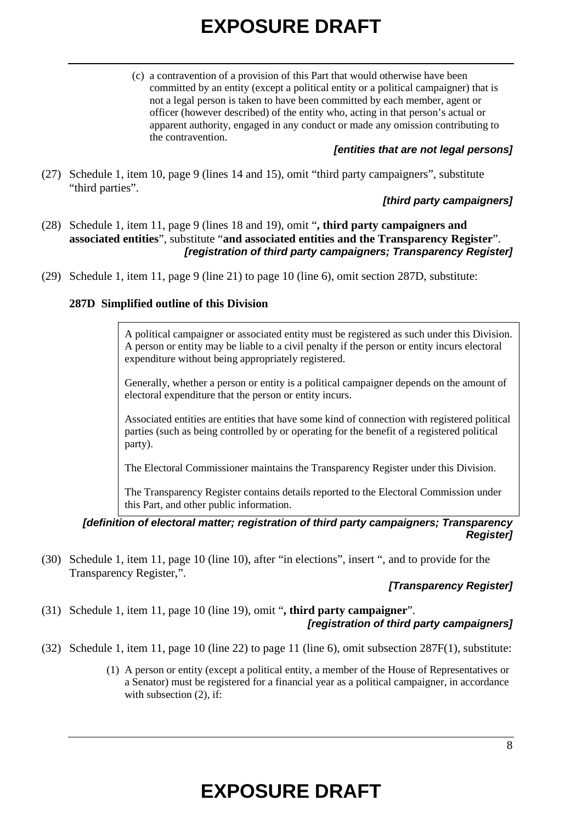(c) a contravention of a provision of this Part that would otherwise have been committed by an entity (except a political entity or a political campaigner) that is not a legal person is taken to have been committed by each member, agent or officer (however described) of the entity who, acting in that person's actual or apparent authority, engaged in any conduct or made any omission contributing to the contravention.

### *[entities that are not legal persons]*

(27) Schedule 1, item 10, page 9 (lines 14 and 15), omit "third party campaigners", substitute "third parties".

## *[third party campaigners]*

- (28) Schedule 1, item 11, page 9 (lines 18 and 19), omit "**, third party campaigners and associated entities**", substitute "**and associated entities and the Transparency Register**". *[registration of third party campaigners; Transparency Register]*
- (29) Schedule 1, item 11, page 9 (line 21) to page 10 (line 6), omit section 287D, substitute:

## **287D Simplified outline of this Division**

A political campaigner or associated entity must be registered as such under this Division. A person or entity may be liable to a civil penalty if the person or entity incurs electoral expenditure without being appropriately registered.

Generally, whether a person or entity is a political campaigner depends on the amount of electoral expenditure that the person or entity incurs.

Associated entities are entities that have some kind of connection with registered political parties (such as being controlled by or operating for the benefit of a registered political party).

The Electoral Commissioner maintains the Transparency Register under this Division.

The Transparency Register contains details reported to the Electoral Commission under this Part, and other public information.

### *[definition of electoral matter; registration of third party campaigners; Transparency Register]*

(30) Schedule 1, item 11, page 10 (line 10), after "in elections", insert ", and to provide for the Transparency Register,".

## *[Transparency Register]*

- (31) Schedule 1, item 11, page 10 (line 19), omit "**, third party campaigner**". *[registration of third party campaigners]*
- (32) Schedule 1, item 11, page 10 (line 22) to page 11 (line 6), omit subsection 287F(1), substitute:
	- (1) A person or entity (except a political entity, a member of the House of Representatives or a Senator) must be registered for a financial year as a political campaigner, in accordance with subsection  $(2)$ , if: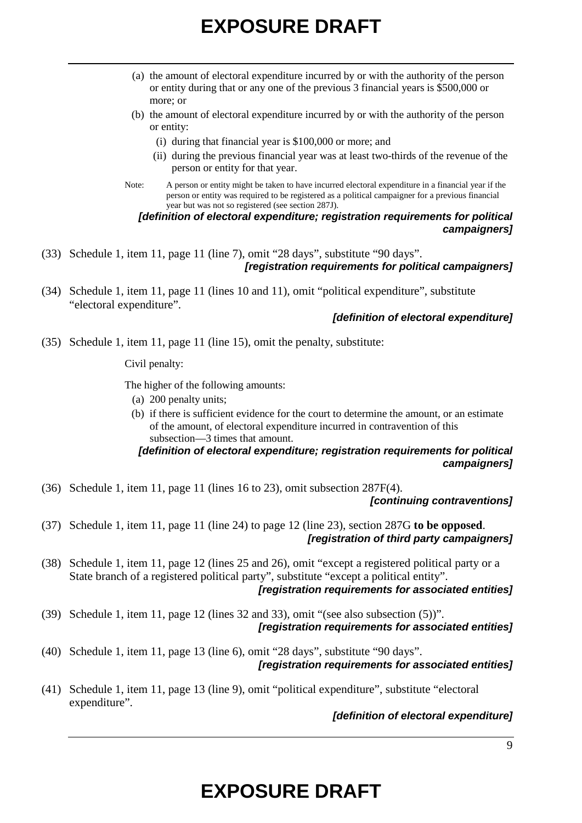- (a) the amount of electoral expenditure incurred by or with the authority of the person or entity during that or any one of the previous 3 financial years is \$500,000 or more; or
- (b) the amount of electoral expenditure incurred by or with the authority of the person or entity:
	- (i) during that financial year is \$100,000 or more; and
	- (ii) during the previous financial year was at least two-thirds of the revenue of the person or entity for that year.
- Note: A person or entity might be taken to have incurred electoral expenditure in a financial year if the person or entity was required to be registered as a political campaigner for a previous financial year but was not so registered (see section 287J).

### *[definition of electoral expenditure; registration requirements for political campaigners]*

- (33) Schedule 1, item 11, page 11 (line 7), omit "28 days", substitute "90 days". *[registration requirements for political campaigners]*
- (34) Schedule 1, item 11, page 11 (lines 10 and 11), omit "political expenditure", substitute "electoral expenditure".

### *[definition of electoral expenditure]*

(35) Schedule 1, item 11, page 11 (line 15), omit the penalty, substitute:

Civil penalty:

The higher of the following amounts:

- (a) 200 penalty units;
- (b) if there is sufficient evidence for the court to determine the amount, or an estimate of the amount, of electoral expenditure incurred in contravention of this subsection—3 times that amount.

## *[definition of electoral expenditure; registration requirements for political campaigners]*

(36) Schedule 1, item 11, page 11 (lines 16 to 23), omit subsection 287F(4).

#### *[continuing contraventions]*

- (37) Schedule 1, item 11, page 11 (line 24) to page 12 (line 23), section 287G **to be opposed**. *[registration of third party campaigners]*
- (38) Schedule 1, item 11, page 12 (lines 25 and 26), omit "except a registered political party or a State branch of a registered political party", substitute "except a political entity". *[registration requirements for associated entities]*
- (39) Schedule 1, item 11, page 12 (lines 32 and 33), omit "(see also subsection (5))". *[registration requirements for associated entities]*
- (40) Schedule 1, item 11, page 13 (line 6), omit "28 days", substitute "90 days". *[registration requirements for associated entities]*
- (41) Schedule 1, item 11, page 13 (line 9), omit "political expenditure", substitute "electoral expenditure".

### *[definition of electoral expenditure]*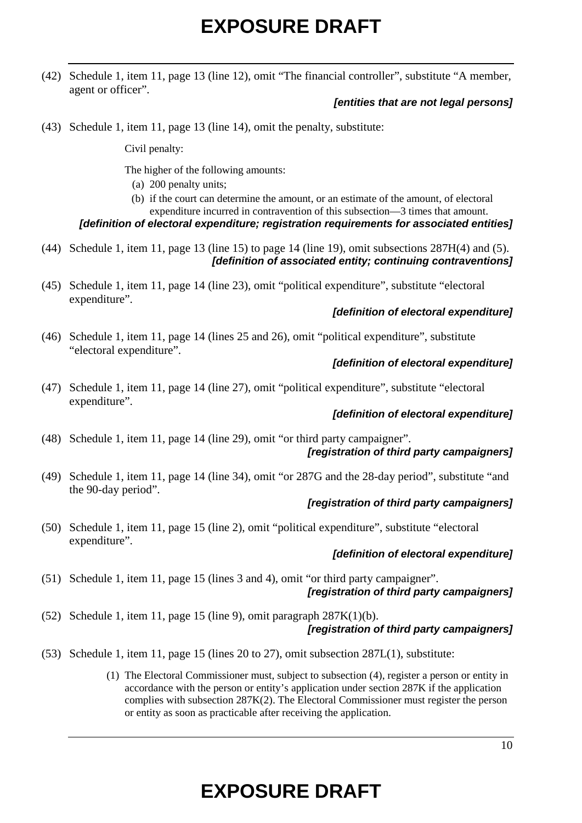(42) Schedule 1, item 11, page 13 (line 12), omit "The financial controller", substitute "A member, agent or officer".

### *[entities that are not legal persons]*

(43) Schedule 1, item 11, page 13 (line 14), omit the penalty, substitute:

Civil penalty:

The higher of the following amounts:

(a) 200 penalty units;

(b) if the court can determine the amount, or an estimate of the amount, of electoral expenditure incurred in contravention of this subsection—3 times that amount.

*[definition of electoral expenditure; registration requirements for associated entities]*

- (44) Schedule 1, item 11, page 13 (line 15) to page 14 (line 19), omit subsections 287H(4) and (5). *[definition of associated entity; continuing contraventions]*
- (45) Schedule 1, item 11, page 14 (line 23), omit "political expenditure", substitute "electoral expenditure".

### *[definition of electoral expenditure]*

(46) Schedule 1, item 11, page 14 (lines 25 and 26), omit "political expenditure", substitute "electoral expenditure".

### *[definition of electoral expenditure]*

(47) Schedule 1, item 11, page 14 (line 27), omit "political expenditure", substitute "electoral expenditure".

### *[definition of electoral expenditure]*

- (48) Schedule 1, item 11, page 14 (line 29), omit "or third party campaigner". *[registration of third party campaigners]*
- (49) Schedule 1, item 11, page 14 (line 34), omit "or 287G and the 28-day period", substitute "and the 90-day period".

### *[registration of third party campaigners]*

(50) Schedule 1, item 11, page 15 (line 2), omit "political expenditure", substitute "electoral expenditure".

### *[definition of electoral expenditure]*

- (51) Schedule 1, item 11, page 15 (lines 3 and 4), omit "or third party campaigner". *[registration of third party campaigners]*
- (52) Schedule 1, item 11, page 15 (line 9), omit paragraph 287K(1)(b). *[registration of third party campaigners]*
- (53) Schedule 1, item 11, page 15 (lines 20 to 27), omit subsection 287L(1), substitute:
	- (1) The Electoral Commissioner must, subject to subsection (4), register a person or entity in accordance with the person or entity's application under section 287K if the application complies with subsection 287K(2). The Electoral Commissioner must register the person or entity as soon as practicable after receiving the application.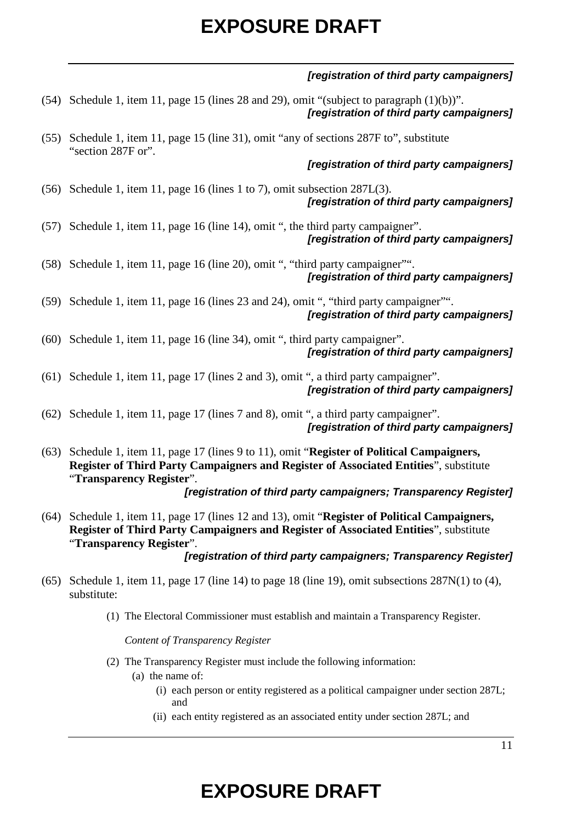## *[registration of third party campaigners]*

- (54) Schedule 1, item 11, page 15 (lines 28 and 29), omit "(subject to paragraph (1)(b))". *[registration of third party campaigners]*
- (55) Schedule 1, item 11, page 15 (line 31), omit "any of sections 287F to", substitute "section 287F or".

*[registration of third party campaigners]*

- (56) Schedule 1, item 11, page 16 (lines 1 to 7), omit subsection 287L(3). *[registration of third party campaigners]*
- (57) Schedule 1, item 11, page 16 (line 14), omit ", the third party campaigner". *[registration of third party campaigners]*
- (58) Schedule 1, item 11, page 16 (line 20), omit ", "third party campaigner"". *[registration of third party campaigners]*
- (59) Schedule 1, item 11, page 16 (lines 23 and 24), omit ", "third party campaigner"". *[registration of third party campaigners]*
- (60) Schedule 1, item 11, page 16 (line 34), omit ", third party campaigner". *[registration of third party campaigners]*
- (61) Schedule 1, item 11, page 17 (lines 2 and 3), omit ", a third party campaigner". *[registration of third party campaigners]*
- (62) Schedule 1, item 11, page 17 (lines 7 and 8), omit ", a third party campaigner". *[registration of third party campaigners]*
- (63) Schedule 1, item 11, page 17 (lines 9 to 11), omit "**Register of Political Campaigners, Register of Third Party Campaigners and Register of Associated Entities**", substitute "**Transparency Register**". *[registration of third party campaigners; Transparency Register]*
- (64) Schedule 1, item 11, page 17 (lines 12 and 13), omit "**Register of Political Campaigners, Register of Third Party Campaigners and Register of Associated Entities**", substitute "**Transparency Register**".

### *[registration of third party campaigners; Transparency Register]*

- (65) Schedule 1, item 11, page 17 (line 14) to page 18 (line 19), omit subsections  $287N(1)$  to (4), substitute:
	- (1) The Electoral Commissioner must establish and maintain a Transparency Register.

*Content of Transparency Register*

- (2) The Transparency Register must include the following information:
	- (a) the name of:
		- (i) each person or entity registered as a political campaigner under section 287L; and
		- (ii) each entity registered as an associated entity under section 287L; and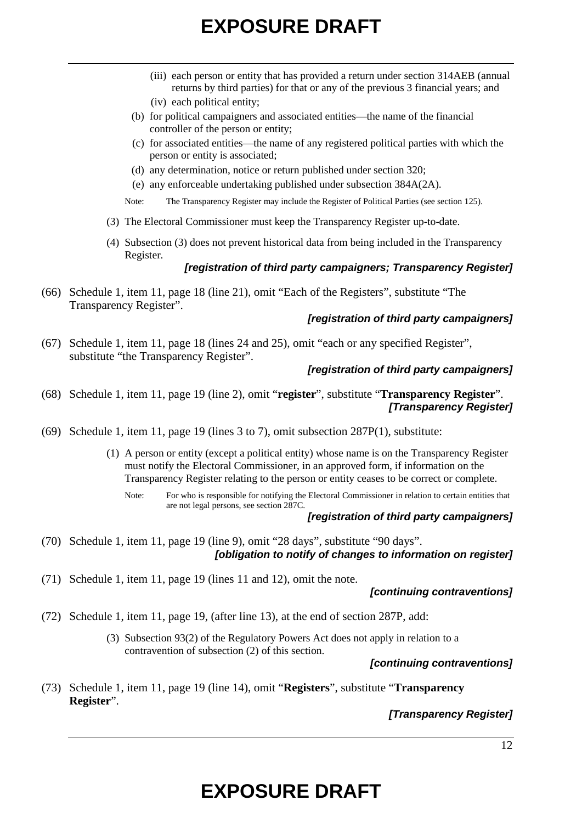- (iii) each person or entity that has provided a return under section 314AEB (annual returns by third parties) for that or any of the previous 3 financial years; and (iv) each political entity;
- (b) for political campaigners and associated entities—the name of the financial controller of the person or entity;
- (c) for associated entities—the name of any registered political parties with which the person or entity is associated;
- (d) any determination, notice or return published under section 320;
- (e) any enforceable undertaking published under subsection 384A(2A).
- Note: The Transparency Register may include the Register of Political Parties (see section 125).
- (3) The Electoral Commissioner must keep the Transparency Register up-to-date.
- (4) Subsection (3) does not prevent historical data from being included in the Transparency Register.

## *[registration of third party campaigners; Transparency Register]*

(66) Schedule 1, item 11, page 18 (line 21), omit "Each of the Registers", substitute "The Transparency Register".

### *[registration of third party campaigners]*

(67) Schedule 1, item 11, page 18 (lines 24 and 25), omit "each or any specified Register", substitute "the Transparency Register".

### *[registration of third party campaigners]*

- (68) Schedule 1, item 11, page 19 (line 2), omit "**register**", substitute "**Transparency Register**". *[Transparency Register]*
- (69) Schedule 1, item 11, page 19 (lines 3 to 7), omit subsection 287P(1), substitute:
	- (1) A person or entity (except a political entity) whose name is on the Transparency Register must notify the Electoral Commissioner, in an approved form, if information on the Transparency Register relating to the person or entity ceases to be correct or complete.
		- Note: For who is responsible for notifying the Electoral Commissioner in relation to certain entities that are not legal persons, see section 287C.

### *[registration of third party campaigners]*

- (70) Schedule 1, item 11, page 19 (line 9), omit "28 days", substitute "90 days". *[obligation to notify of changes to information on register]*
- (71) Schedule 1, item 11, page 19 (lines 11 and 12), omit the note.

### *[continuing contraventions]*

- (72) Schedule 1, item 11, page 19, (after line 13), at the end of section 287P, add:
	- (3) Subsection 93(2) of the Regulatory Powers Act does not apply in relation to a contravention of subsection (2) of this section.

### *[continuing contraventions]*

(73) Schedule 1, item 11, page 19 (line 14), omit "**Registers**", substitute "**Transparency Register**".

## *[Transparency Register]*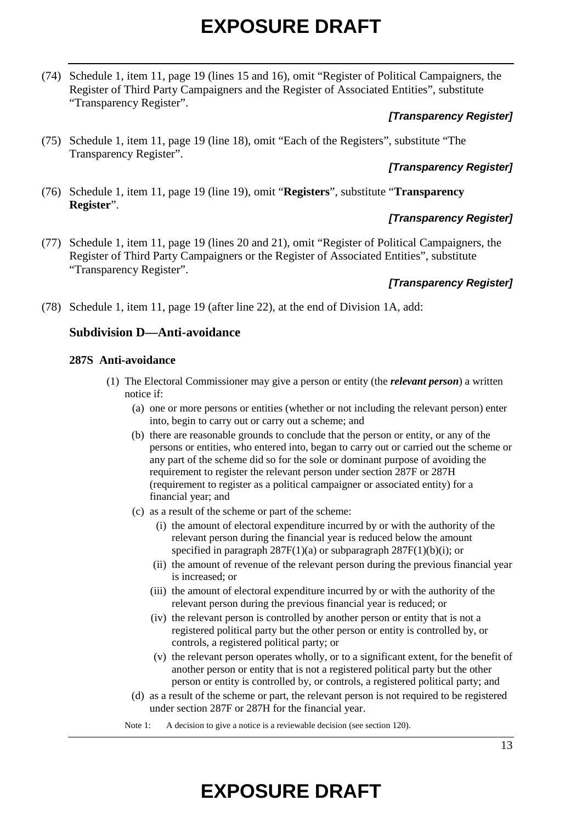(74) Schedule 1, item 11, page 19 (lines 15 and 16), omit "Register of Political Campaigners, the Register of Third Party Campaigners and the Register of Associated Entities", substitute "Transparency Register".

## *[Transparency Register]*

(75) Schedule 1, item 11, page 19 (line 18), omit "Each of the Registers", substitute "The Transparency Register".

## *[Transparency Register]*

(76) Schedule 1, item 11, page 19 (line 19), omit "**Registers**", substitute "**Transparency Register**".

# *[Transparency Register]*

(77) Schedule 1, item 11, page 19 (lines 20 and 21), omit "Register of Political Campaigners, the Register of Third Party Campaigners or the Register of Associated Entities", substitute "Transparency Register".

## *[Transparency Register]*

(78) Schedule 1, item 11, page 19 (after line 22), at the end of Division 1A, add:

## **Subdivision D—Anti-avoidance**

### **287S Anti-avoidance**

- (1) The Electoral Commissioner may give a person or entity (the *relevant person*) a written notice if:
	- (a) one or more persons or entities (whether or not including the relevant person) enter into, begin to carry out or carry out a scheme; and
	- (b) there are reasonable grounds to conclude that the person or entity, or any of the persons or entities, who entered into, began to carry out or carried out the scheme or any part of the scheme did so for the sole or dominant purpose of avoiding the requirement to register the relevant person under section 287F or 287H (requirement to register as a political campaigner or associated entity) for a financial year; and
	- (c) as a result of the scheme or part of the scheme:
		- (i) the amount of electoral expenditure incurred by or with the authority of the relevant person during the financial year is reduced below the amount specified in paragraph 287F(1)(a) or subparagraph 287F(1)(b)(i); or
		- (ii) the amount of revenue of the relevant person during the previous financial year is increased; or
		- (iii) the amount of electoral expenditure incurred by or with the authority of the relevant person during the previous financial year is reduced; or
		- (iv) the relevant person is controlled by another person or entity that is not a registered political party but the other person or entity is controlled by, or controls, a registered political party; or
		- (v) the relevant person operates wholly, or to a significant extent, for the benefit of another person or entity that is not a registered political party but the other person or entity is controlled by, or controls, a registered political party; and
	- (d) as a result of the scheme or part, the relevant person is not required to be registered under section 287F or 287H for the financial year.

Note 1: A decision to give a notice is a reviewable decision (see section 120).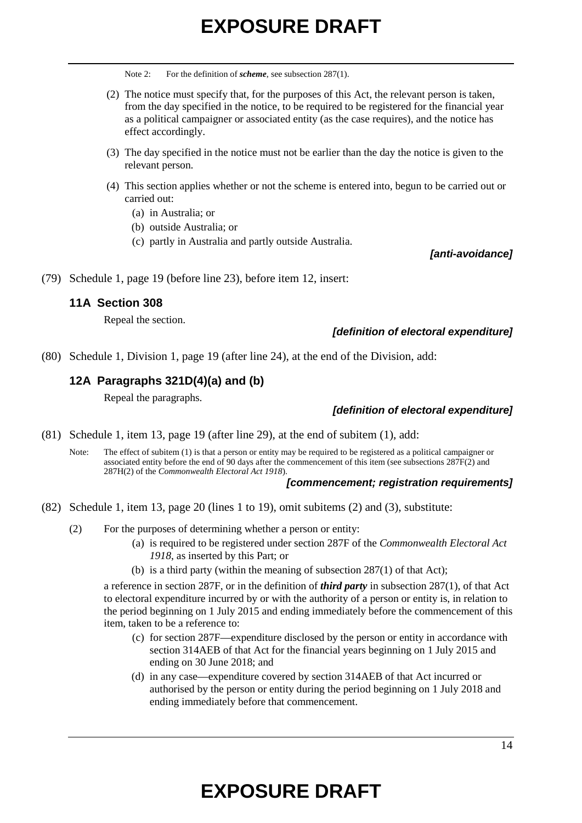Note 2: For the definition of *scheme*, see subsection 287(1).

- (2) The notice must specify that, for the purposes of this Act, the relevant person is taken, from the day specified in the notice, to be required to be registered for the financial year as a political campaigner or associated entity (as the case requires), and the notice has effect accordingly.
- (3) The day specified in the notice must not be earlier than the day the notice is given to the relevant person.
- (4) This section applies whether or not the scheme is entered into, begun to be carried out or carried out:
	- (a) in Australia; or
	- (b) outside Australia; or
	- (c) partly in Australia and partly outside Australia.

*[anti-avoidance]*

(79) Schedule 1, page 19 (before line 23), before item 12, insert:

### **11A Section 308**

Repeal the section.

### *[definition of electoral expenditure]*

(80) Schedule 1, Division 1, page 19 (after line 24), at the end of the Division, add:

### **12A Paragraphs 321D(4)(a) and (b)**

Repeal the paragraphs.

### *[definition of electoral expenditure]*

(81) Schedule 1, item 13, page 19 (after line 29), at the end of subitem (1), add:

Note: The effect of subitem (1) is that a person or entity may be required to be registered as a political campaigner or associated entity before the end of 90 days after the commencement of this item (see subsections 287F(2) and 287H(2) of the *Commonwealth Electoral Act 1918*).

#### *[commencement; registration requirements]*

- (82) Schedule 1, item 13, page 20 (lines 1 to 19), omit subitems (2) and (3), substitute:
	- (2) For the purposes of determining whether a person or entity:
		- (a) is required to be registered under section 287F of the *Commonwealth Electoral Act 1918*, as inserted by this Part; or
		- (b) is a third party (within the meaning of subsection 287(1) of that Act);

a reference in section 287F, or in the definition of *third party* in subsection 287(1), of that Act to electoral expenditure incurred by or with the authority of a person or entity is, in relation to the period beginning on 1 July 2015 and ending immediately before the commencement of this item, taken to be a reference to:

- (c) for section 287F—expenditure disclosed by the person or entity in accordance with section 314AEB of that Act for the financial years beginning on 1 July 2015 and ending on 30 June 2018; and
- (d) in any case—expenditure covered by section 314AEB of that Act incurred or authorised by the person or entity during the period beginning on 1 July 2018 and ending immediately before that commencement.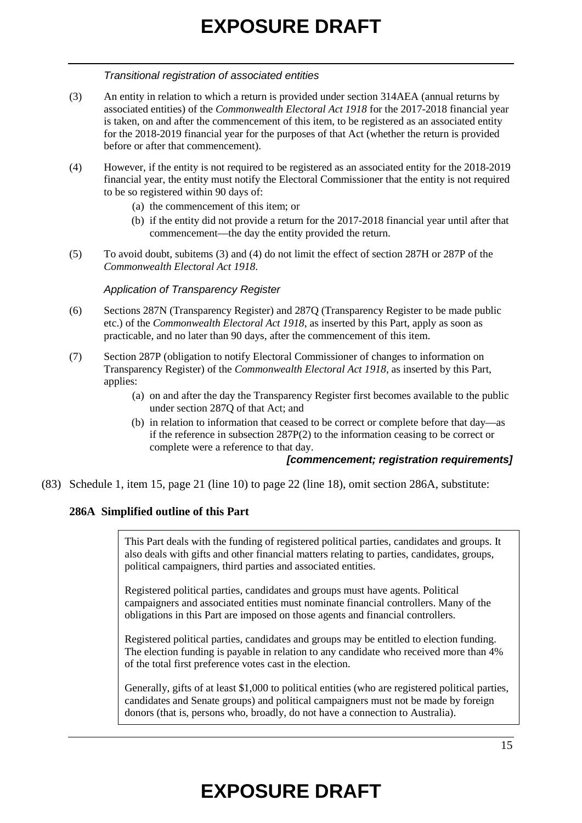### *Transitional registration of associated entities*

- (3) An entity in relation to which a return is provided under section 314AEA (annual returns by associated entities) of the *Commonwealth Electoral Act 1918* for the 2017-2018 financial year is taken, on and after the commencement of this item, to be registered as an associated entity for the 2018-2019 financial year for the purposes of that Act (whether the return is provided before or after that commencement).
- (4) However, if the entity is not required to be registered as an associated entity for the 2018-2019 financial year, the entity must notify the Electoral Commissioner that the entity is not required to be so registered within 90 days of:
	- (a) the commencement of this item; or
	- (b) if the entity did not provide a return for the 2017-2018 financial year until after that commencement—the day the entity provided the return.
- (5) To avoid doubt, subitems (3) and (4) do not limit the effect of section 287H or 287P of the *Commonwealth Electoral Act 1918*.

### *Application of Transparency Register*

- (6) Sections 287N (Transparency Register) and 287Q (Transparency Register to be made public etc.) of the *Commonwealth Electoral Act 1918*, as inserted by this Part, apply as soon as practicable, and no later than 90 days, after the commencement of this item.
- (7) Section 287P (obligation to notify Electoral Commissioner of changes to information on Transparency Register) of the *Commonwealth Electoral Act 1918*, as inserted by this Part, applies:
	- (a) on and after the day the Transparency Register first becomes available to the public under section 287Q of that Act; and
	- (b) in relation to information that ceased to be correct or complete before that day—as if the reference in subsection 287P(2) to the information ceasing to be correct or complete were a reference to that day.

### *[commencement; registration requirements]*

(83) Schedule 1, item 15, page 21 (line 10) to page 22 (line 18), omit section 286A, substitute:

## **286A Simplified outline of this Part**

This Part deals with the funding of registered political parties, candidates and groups. It also deals with gifts and other financial matters relating to parties, candidates, groups, political campaigners, third parties and associated entities.

Registered political parties, candidates and groups must have agents. Political campaigners and associated entities must nominate financial controllers. Many of the obligations in this Part are imposed on those agents and financial controllers.

Registered political parties, candidates and groups may be entitled to election funding. The election funding is payable in relation to any candidate who received more than 4% of the total first preference votes cast in the election.

Generally, gifts of at least \$1,000 to political entities (who are registered political parties, candidates and Senate groups) and political campaigners must not be made by foreign donors (that is, persons who, broadly, do not have a connection to Australia).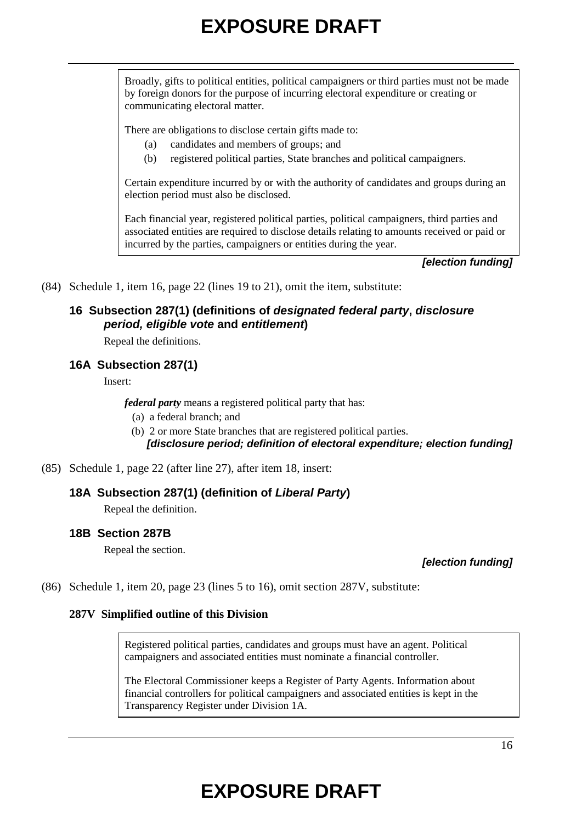Broadly, gifts to political entities, political campaigners or third parties must not be made by foreign donors for the purpose of incurring electoral expenditure or creating or communicating electoral matter.

There are obligations to disclose certain gifts made to:

- (a) candidates and members of groups; and
- (b) registered political parties, State branches and political campaigners.

Certain expenditure incurred by or with the authority of candidates and groups during an election period must also be disclosed.

Each financial year, registered political parties, political campaigners, third parties and associated entities are required to disclose details relating to amounts received or paid or incurred by the parties, campaigners or entities during the year.

*[election funding]*

(84) Schedule 1, item 16, page 22 (lines 19 to 21), omit the item, substitute:

## **16 Subsection 287(1) (definitions of** *designated federal party***,** *disclosure period, eligible vote* **and** *entitlement***)**

Repeal the definitions.

## **16A Subsection 287(1)**

Insert:

*federal party* means a registered political party that has:

- (a) a federal branch; and
- (b) 2 or more State branches that are registered political parties. *[disclosure period; definition of electoral expenditure; election funding]*
- (85) Schedule 1, page 22 (after line 27), after item 18, insert:

### **18A Subsection 287(1) (definition of** *Liberal Party***)**

Repeal the definition.

### **18B Section 287B**

Repeal the section.

*[election funding]*

(86) Schedule 1, item 20, page 23 (lines 5 to 16), omit section 287V, substitute:

### **287V Simplified outline of this Division**

Registered political parties, candidates and groups must have an agent. Political campaigners and associated entities must nominate a financial controller.

The Electoral Commissioner keeps a Register of Party Agents. Information about financial controllers for political campaigners and associated entities is kept in the Transparency Register under Division 1A.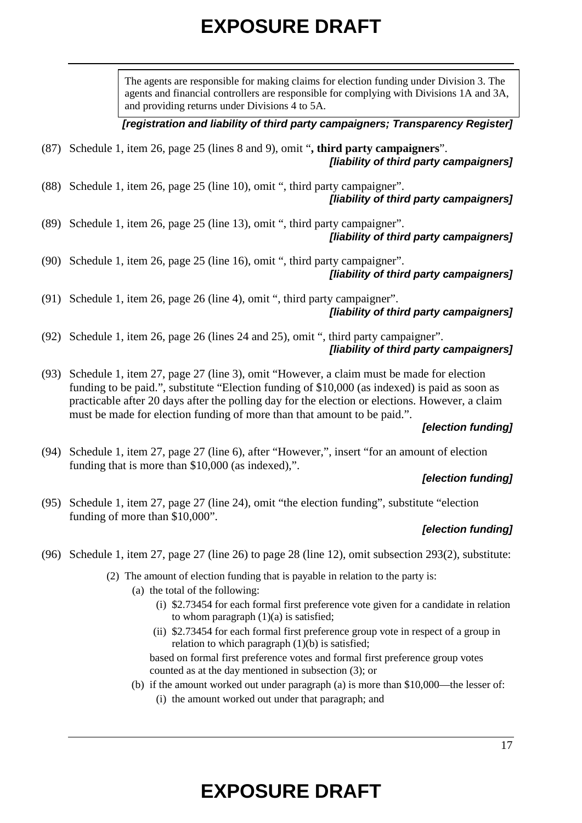The agents are responsible for making claims for election funding under Division 3. The agents and financial controllers are responsible for complying with Divisions 1A and 3A, and providing returns under Divisions 4 to 5A.

*[registration and liability of third party campaigners; Transparency Register]*

- (87) Schedule 1, item 26, page 25 (lines 8 and 9), omit "**, third party campaigners**". *[liability of third party campaigners]*
- (88) Schedule 1, item 26, page 25 (line 10), omit ", third party campaigner". *[liability of third party campaigners]*
- (89) Schedule 1, item 26, page 25 (line 13), omit ", third party campaigner". *[liability of third party campaigners]*
- (90) Schedule 1, item 26, page 25 (line 16), omit ", third party campaigner". *[liability of third party campaigners]*
- (91) Schedule 1, item 26, page 26 (line 4), omit ", third party campaigner". *[liability of third party campaigners]*
- (92) Schedule 1, item 26, page 26 (lines 24 and 25), omit ", third party campaigner". *[liability of third party campaigners]*
- (93) Schedule 1, item 27, page 27 (line 3), omit "However, a claim must be made for election funding to be paid.", substitute "Election funding of \$10,000 (as indexed) is paid as soon as practicable after 20 days after the polling day for the election or elections. However, a claim must be made for election funding of more than that amount to be paid.".

### *[election funding]*

(94) Schedule 1, item 27, page 27 (line 6), after "However,", insert "for an amount of election funding that is more than \$10,000 (as indexed),".

## *[election funding]*

(95) Schedule 1, item 27, page 27 (line 24), omit "the election funding", substitute "election funding of more than \$10,000".

## *[election funding]*

- (96) Schedule 1, item 27, page 27 (line 26) to page 28 (line 12), omit subsection 293(2), substitute:
	- (2) The amount of election funding that is payable in relation to the party is:
		- (a) the total of the following:
			- (i) \$2.73454 for each formal first preference vote given for a candidate in relation to whom paragraph  $(1)(a)$  is satisfied;
			- (ii) \$2.73454 for each formal first preference group vote in respect of a group in relation to which paragraph  $(1)(b)$  is satisfied;

based on formal first preference votes and formal first preference group votes counted as at the day mentioned in subsection (3); or

(b) if the amount worked out under paragraph (a) is more than \$10,000—the lesser of: (i) the amount worked out under that paragraph; and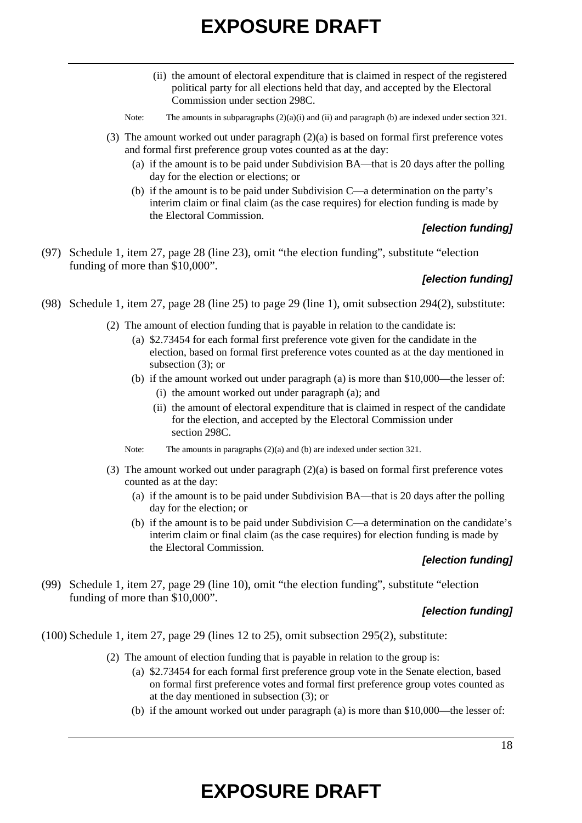- (ii) the amount of electoral expenditure that is claimed in respect of the registered political party for all elections held that day, and accepted by the Electoral Commission under section 298C.
- Note: The amounts in subparagraphs  $(2)(a)(i)$  and  $(ii)$  and paragraph  $(b)$  are indexed under section 321.
- (3) The amount worked out under paragraph (2)(a) is based on formal first preference votes and formal first preference group votes counted as at the day:
	- (a) if the amount is to be paid under Subdivision BA—that is 20 days after the polling day for the election or elections; or
	- (b) if the amount is to be paid under Subdivision C—a determination on the party's interim claim or final claim (as the case requires) for election funding is made by the Electoral Commission.

#### *[election funding]*

(97) Schedule 1, item 27, page 28 (line 23), omit "the election funding", substitute "election funding of more than \$10,000".

### *[election funding]*

- (98) Schedule 1, item 27, page 28 (line 25) to page 29 (line 1), omit subsection 294(2), substitute:
	- (2) The amount of election funding that is payable in relation to the candidate is:
		- (a) \$2.73454 for each formal first preference vote given for the candidate in the election, based on formal first preference votes counted as at the day mentioned in subsection (3); or
		- (b) if the amount worked out under paragraph (a) is more than \$10,000—the lesser of:
			- (i) the amount worked out under paragraph (a); and
			- (ii) the amount of electoral expenditure that is claimed in respect of the candidate for the election, and accepted by the Electoral Commission under section 298C.
		- Note: The amounts in paragraphs (2)(a) and (b) are indexed under section 321.
	- (3) The amount worked out under paragraph (2)(a) is based on formal first preference votes counted as at the day:
		- (a) if the amount is to be paid under Subdivision BA—that is 20 days after the polling day for the election; or
		- (b) if the amount is to be paid under Subdivision C—a determination on the candidate's interim claim or final claim (as the case requires) for election funding is made by the Electoral Commission.

### *[election funding]*

(99) Schedule 1, item 27, page 29 (line 10), omit "the election funding", substitute "election funding of more than \$10,000".

### *[election funding]*

- (100) Schedule 1, item 27, page 29 (lines 12 to 25), omit subsection 295(2), substitute:
	- (2) The amount of election funding that is payable in relation to the group is:
		- (a) \$2.73454 for each formal first preference group vote in the Senate election, based on formal first preference votes and formal first preference group votes counted as at the day mentioned in subsection (3); or
		- (b) if the amount worked out under paragraph (a) is more than \$10,000—the lesser of: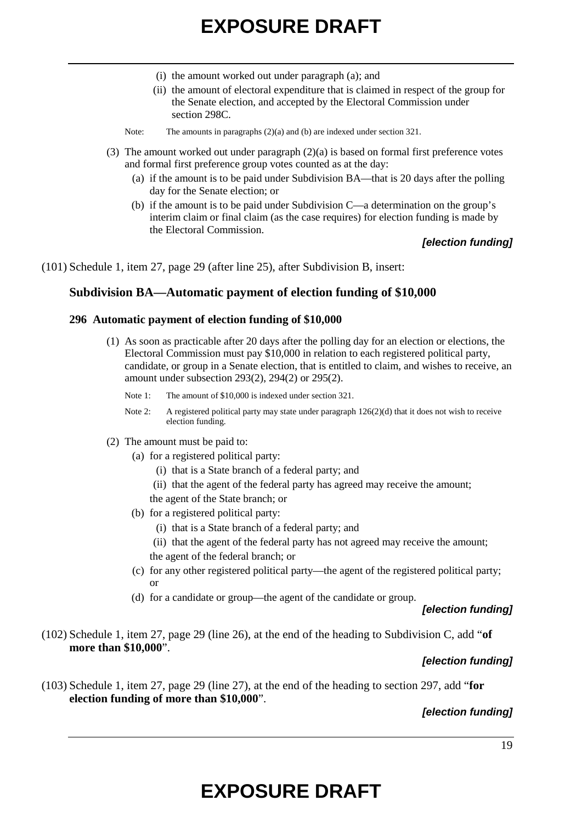- (i) the amount worked out under paragraph (a); and
- (ii) the amount of electoral expenditure that is claimed in respect of the group for the Senate election, and accepted by the Electoral Commission under section 298C.
- Note: The amounts in paragraphs (2)(a) and (b) are indexed under section 321.
- (3) The amount worked out under paragraph  $(2)(a)$  is based on formal first preference votes and formal first preference group votes counted as at the day:
	- (a) if the amount is to be paid under Subdivision BA—that is 20 days after the polling day for the Senate election; or
	- (b) if the amount is to be paid under Subdivision C—a determination on the group's interim claim or final claim (as the case requires) for election funding is made by the Electoral Commission.

### *[election funding]*

(101) Schedule 1, item 27, page 29 (after line 25), after Subdivision B, insert:

#### **Subdivision BA—Automatic payment of election funding of \$10,000**

#### **296 Automatic payment of election funding of \$10,000**

- (1) As soon as practicable after 20 days after the polling day for an election or elections, the Electoral Commission must pay \$10,000 in relation to each registered political party, candidate, or group in a Senate election, that is entitled to claim, and wishes to receive, an amount under subsection 293(2), 294(2) or 295(2).
	- Note 1: The amount of \$10,000 is indexed under section 321.
	- Note 2: A registered political party may state under paragraph 126(2)(d) that it does not wish to receive election funding.
- (2) The amount must be paid to:
	- (a) for a registered political party:
		- (i) that is a State branch of a federal party; and
		- (ii) that the agent of the federal party has agreed may receive the amount;
		- the agent of the State branch; or
	- (b) for a registered political party:
		- (i) that is a State branch of a federal party; and
		- (ii) that the agent of the federal party has not agreed may receive the amount; the agent of the federal branch; or
	- (c) for any other registered political party—the agent of the registered political party; or
	- (d) for a candidate or group—the agent of the candidate or group.

#### *[election funding]*

(102) Schedule 1, item 27, page 29 (line 26), at the end of the heading to Subdivision C, add "**of more than \$10,000**".

#### *[election funding]*

(103) Schedule 1, item 27, page 29 (line 27), at the end of the heading to section 297, add "**for election funding of more than \$10,000**".

### *[election funding]*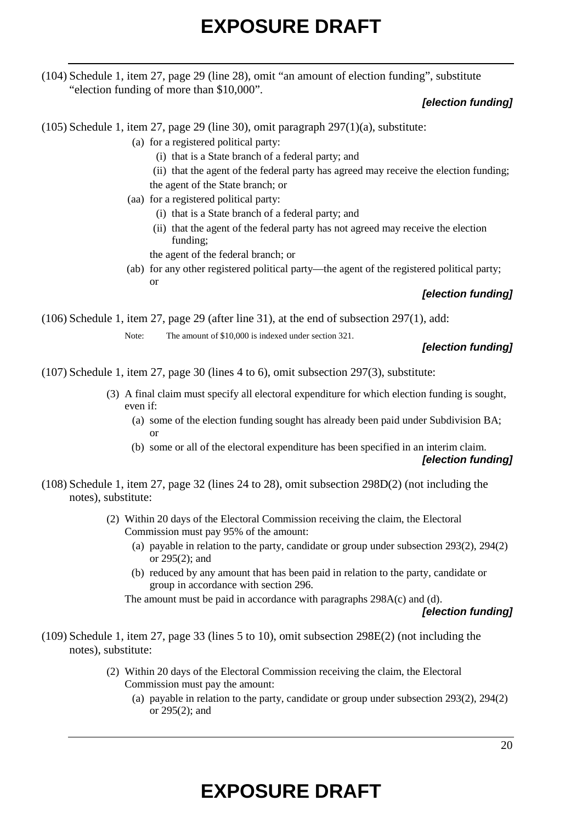(104) Schedule 1, item 27, page 29 (line 28), omit "an amount of election funding", substitute "election funding of more than \$10,000".

### *[election funding]*

(105) Schedule 1, item 27, page 29 (line 30), omit paragraph 297(1)(a), substitute:

- (a) for a registered political party:
	- (i) that is a State branch of a federal party; and
	- (ii) that the agent of the federal party has agreed may receive the election funding;
	- the agent of the State branch; or
- (aa) for a registered political party:
	- (i) that is a State branch of a federal party; and
	- (ii) that the agent of the federal party has not agreed may receive the election funding;

the agent of the federal branch; or

(ab) for any other registered political party—the agent of the registered political party; or

### *[election funding]*

(106) Schedule 1, item 27, page 29 (after line 31), at the end of subsection 297(1), add:

Note: The amount of \$10,000 is indexed under section 321.

## *[election funding]*

(107) Schedule 1, item 27, page 30 (lines 4 to 6), omit subsection 297(3), substitute:

- (3) A final claim must specify all electoral expenditure for which election funding is sought, even if:
	- (a) some of the election funding sought has already been paid under Subdivision BA; or
	- (b) some or all of the electoral expenditure has been specified in an interim claim. *[election funding]*
- (108) Schedule 1, item 27, page 32 (lines 24 to 28), omit subsection 298D(2) (not including the notes), substitute:
	- (2) Within 20 days of the Electoral Commission receiving the claim, the Electoral Commission must pay 95% of the amount:
		- (a) payable in relation to the party, candidate or group under subsection 293(2), 294(2) or 295(2); and
		- (b) reduced by any amount that has been paid in relation to the party, candidate or group in accordance with section 296.

The amount must be paid in accordance with paragraphs 298A(c) and (d).

### *[election funding]*

- (109) Schedule 1, item 27, page 33 (lines 5 to 10), omit subsection 298E(2) (not including the notes), substitute:
	- (2) Within 20 days of the Electoral Commission receiving the claim, the Electoral Commission must pay the amount:
		- (a) payable in relation to the party, candidate or group under subsection 293(2), 294(2) or 295(2); and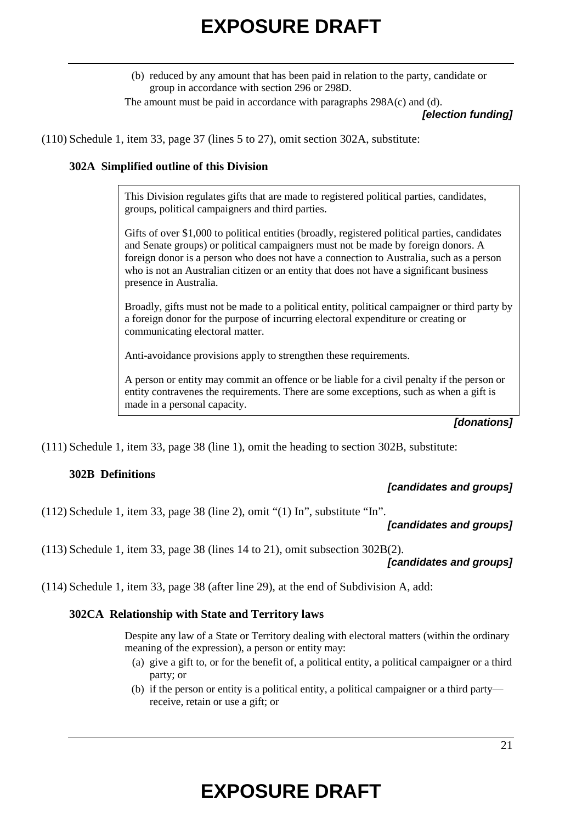(b) reduced by any amount that has been paid in relation to the party, candidate or group in accordance with section 296 or 298D.

The amount must be paid in accordance with paragraphs 298A(c) and (d).

*[election funding]*

(110) Schedule 1, item 33, page 37 (lines 5 to 27), omit section 302A, substitute:

### **302A Simplified outline of this Division**

This Division regulates gifts that are made to registered political parties, candidates, groups, political campaigners and third parties.

Gifts of over \$1,000 to political entities (broadly, registered political parties, candidates and Senate groups) or political campaigners must not be made by foreign donors. A foreign donor is a person who does not have a connection to Australia, such as a person who is not an Australian citizen or an entity that does not have a significant business presence in Australia.

Broadly, gifts must not be made to a political entity, political campaigner or third party by a foreign donor for the purpose of incurring electoral expenditure or creating or communicating electoral matter.

Anti-avoidance provisions apply to strengthen these requirements.

A person or entity may commit an offence or be liable for a civil penalty if the person or entity contravenes the requirements. There are some exceptions, such as when a gift is made in a personal capacity.

#### *[donations]*

(111) Schedule 1, item 33, page 38 (line 1), omit the heading to section 302B, substitute:

### **302B Definitions**

### *[candidates and groups]*

(112) Schedule 1, item 33, page 38 (line 2), omit "(1) In", substitute "In".

### *[candidates and groups]*

(113) Schedule 1, item 33, page 38 (lines 14 to 21), omit subsection 302B(2).

*[candidates and groups]*

(114) Schedule 1, item 33, page 38 (after line 29), at the end of Subdivision A, add:

### **302CA Relationship with State and Territory laws**

Despite any law of a State or Territory dealing with electoral matters (within the ordinary meaning of the expression), a person or entity may:

- (a) give a gift to, or for the benefit of, a political entity, a political campaigner or a third party; or
- (b) if the person or entity is a political entity, a political campaigner or a third party receive, retain or use a gift; or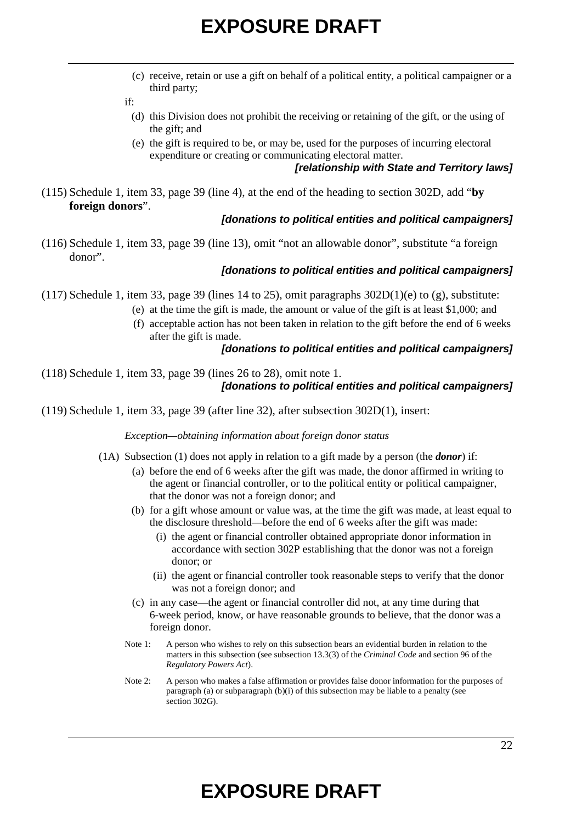(c) receive, retain or use a gift on behalf of a political entity, a political campaigner or a third party;

if:

- (d) this Division does not prohibit the receiving or retaining of the gift, or the using of the gift; and
- (e) the gift is required to be, or may be, used for the purposes of incurring electoral expenditure or creating or communicating electoral matter.

### *[relationship with State and Territory laws]*

(115) Schedule 1, item 33, page 39 (line 4), at the end of the heading to section 302D, add "**by foreign donors**".

### *[donations to political entities and political campaigners]*

(116) Schedule 1, item 33, page 39 (line 13), omit "not an allowable donor", substitute "a foreign donor".

### *[donations to political entities and political campaigners]*

- (117) Schedule 1, item 33, page 39 (lines 14 to 25), omit paragraphs  $302D(1)(e)$  to (g), substitute:
	- (e) at the time the gift is made, the amount or value of the gift is at least \$1,000; and
	- (f) acceptable action has not been taken in relation to the gift before the end of 6 weeks after the gift is made.

### *[donations to political entities and political campaigners]*

(118) Schedule 1, item 33, page 39 (lines 26 to 28), omit note 1. *[donations to political entities and political campaigners]*

(119) Schedule 1, item 33, page 39 (after line 32), after subsection 302D(1), insert:

*Exception—obtaining information about foreign donor status*

- (1A) Subsection (1) does not apply in relation to a gift made by a person (the *donor*) if:
	- (a) before the end of 6 weeks after the gift was made, the donor affirmed in writing to the agent or financial controller, or to the political entity or political campaigner, that the donor was not a foreign donor; and
	- (b) for a gift whose amount or value was, at the time the gift was made, at least equal to the disclosure threshold—before the end of 6 weeks after the gift was made:
		- (i) the agent or financial controller obtained appropriate donor information in accordance with section 302P establishing that the donor was not a foreign donor; or
		- (ii) the agent or financial controller took reasonable steps to verify that the donor was not a foreign donor; and
	- (c) in any case—the agent or financial controller did not, at any time during that 6-week period, know, or have reasonable grounds to believe, that the donor was a foreign donor.
	- Note 1: A person who wishes to rely on this subsection bears an evidential burden in relation to the matters in this subsection (see subsection 13.3(3) of the *Criminal Code* and section 96 of the *Regulatory Powers Act*).
	- Note 2: A person who makes a false affirmation or provides false donor information for the purposes of paragraph (a) or subparagraph (b)(i) of this subsection may be liable to a penalty (see section 302G).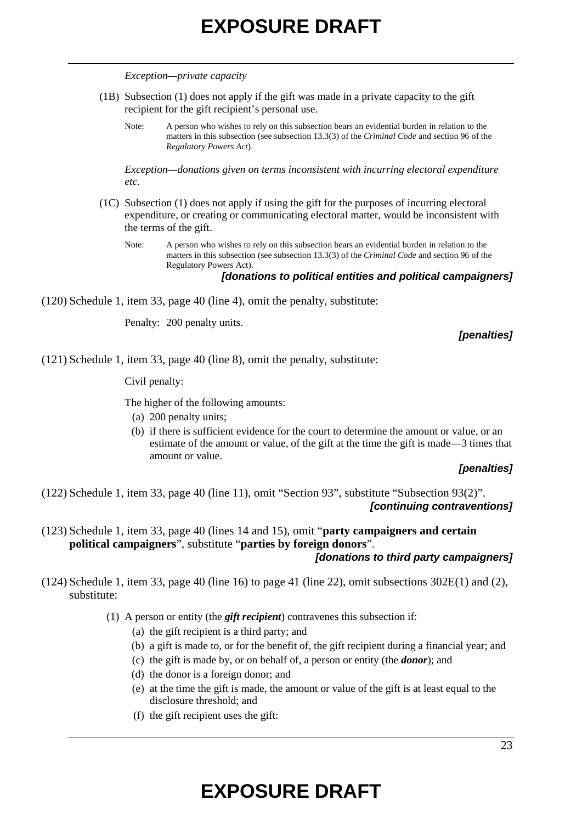*Exception—private capacity*

- (1B) Subsection (1) does not apply if the gift was made in a private capacity to the gift recipient for the gift recipient's personal use.
	- Note: A person who wishes to rely on this subsection bears an evidential burden in relation to the matters in this subsection (see subsection 13.3(3) of the *Criminal Code* and section 96 of the *Regulatory Powers Act*).

*Exception—donations given on terms inconsistent with incurring electoral expenditure etc.*

- (1C) Subsection (1) does not apply if using the gift for the purposes of incurring electoral expenditure, or creating or communicating electoral matter, would be inconsistent with the terms of the gift.
	- Note: A person who wishes to rely on this subsection bears an evidential burden in relation to the matters in this subsection (see subsection 13.3(3) of the *Criminal Code* and section 96 of the Regulatory Powers Act).

*[donations to political entities and political campaigners]*

(120) Schedule 1, item 33, page 40 (line 4), omit the penalty, substitute:

Penalty: 200 penalty units.

*[penalties]*

(121) Schedule 1, item 33, page 40 (line 8), omit the penalty, substitute:

Civil penalty:

The higher of the following amounts:

- (a) 200 penalty units;
- (b) if there is sufficient evidence for the court to determine the amount or value, or an estimate of the amount or value, of the gift at the time the gift is made—3 times that amount or value.

#### *[penalties]*

(122) Schedule 1, item 33, page 40 (line 11), omit "Section 93", substitute "Subsection 93(2)". *[continuing contraventions]*

- (123) Schedule 1, item 33, page 40 (lines 14 and 15), omit "**party campaigners and certain political campaigners**", substitute "**parties by foreign donors**". *[donations to third party campaigners]*
- (124) Schedule 1, item 33, page 40 (line 16) to page 41 (line 22), omit subsections 302E(1) and (2), substitute:

(1) A person or entity (the *gift recipient*) contravenes this subsection if:

- (a) the gift recipient is a third party; and
- (b) a gift is made to, or for the benefit of, the gift recipient during a financial year; and
- (c) the gift is made by, or on behalf of, a person or entity (the *donor*); and
- (d) the donor is a foreign donor; and
- (e) at the time the gift is made, the amount or value of the gift is at least equal to the disclosure threshold; and
- (f) the gift recipient uses the gift: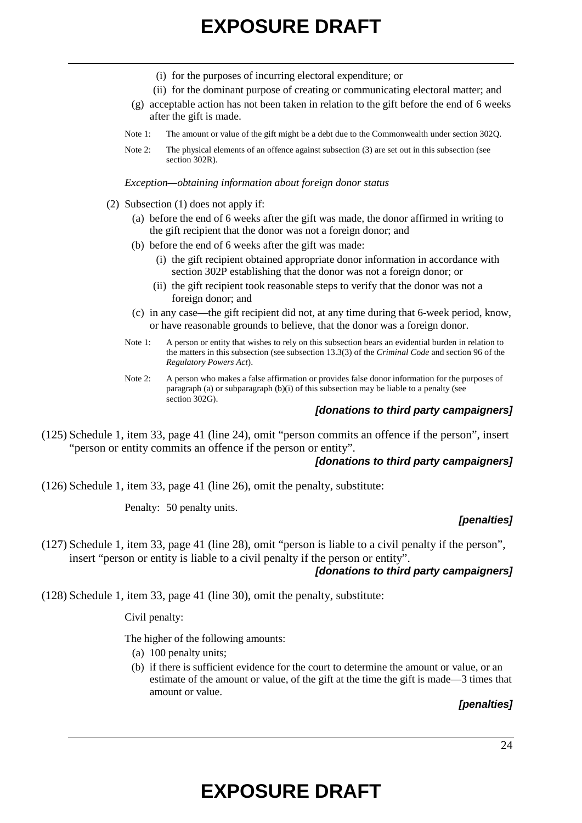- (i) for the purposes of incurring electoral expenditure; or
- (ii) for the dominant purpose of creating or communicating electoral matter; and
- (g) acceptable action has not been taken in relation to the gift before the end of 6 weeks after the gift is made.
- Note 1: The amount or value of the gift might be a debt due to the Commonwealth under section 302Q.
- Note 2: The physical elements of an offence against subsection (3) are set out in this subsection (see section 302R).

*Exception—obtaining information about foreign donor status*

- (2) Subsection (1) does not apply if:
	- (a) before the end of 6 weeks after the gift was made, the donor affirmed in writing to the gift recipient that the donor was not a foreign donor; and
	- (b) before the end of 6 weeks after the gift was made:
		- (i) the gift recipient obtained appropriate donor information in accordance with section 302P establishing that the donor was not a foreign donor; or
		- (ii) the gift recipient took reasonable steps to verify that the donor was not a foreign donor; and
	- (c) in any case—the gift recipient did not, at any time during that 6-week period, know, or have reasonable grounds to believe, that the donor was a foreign donor.
	- Note 1: A person or entity that wishes to rely on this subsection bears an evidential burden in relation to the matters in this subsection (see subsection 13.3(3) of the *Criminal Code* and section 96 of the *Regulatory Powers Act*).
	- Note 2: A person who makes a false affirmation or provides false donor information for the purposes of paragraph (a) or subparagraph (b)(i) of this subsection may be liable to a penalty (see section 302G).

#### *[donations to third party campaigners]*

(125) Schedule 1, item 33, page 41 (line 24), omit "person commits an offence if the person", insert "person or entity commits an offence if the person or entity".

#### *[donations to third party campaigners]*

(126) Schedule 1, item 33, page 41 (line 26), omit the penalty, substitute:

Penalty: 50 penalty units.

#### *[penalties]*

(127) Schedule 1, item 33, page 41 (line 28), omit "person is liable to a civil penalty if the person", insert "person or entity is liable to a civil penalty if the person or entity".

### *[donations to third party campaigners]*

(128) Schedule 1, item 33, page 41 (line 30), omit the penalty, substitute:

Civil penalty:

The higher of the following amounts:

- (a) 100 penalty units;
- (b) if there is sufficient evidence for the court to determine the amount or value, or an estimate of the amount or value, of the gift at the time the gift is made—3 times that amount or value.

### *[penalties]*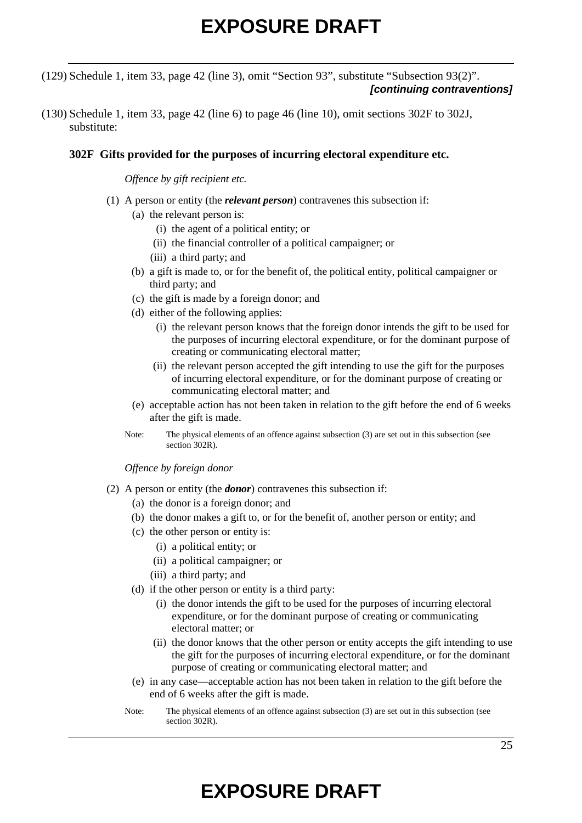(129) Schedule 1, item 33, page 42 (line 3), omit "Section 93", substitute "Subsection 93(2)". *[continuing contraventions]*

(130) Schedule 1, item 33, page 42 (line 6) to page 46 (line 10), omit sections 302F to 302J, substitute:

### **302F Gifts provided for the purposes of incurring electoral expenditure etc.**

*Offence by gift recipient etc.*

- (1) A person or entity (the *relevant person*) contravenes this subsection if:
	- (a) the relevant person is:
		- (i) the agent of a political entity; or
		- (ii) the financial controller of a political campaigner; or
		- (iii) a third party; and
	- (b) a gift is made to, or for the benefit of, the political entity, political campaigner or third party; and
	- (c) the gift is made by a foreign donor; and
	- (d) either of the following applies:
		- (i) the relevant person knows that the foreign donor intends the gift to be used for the purposes of incurring electoral expenditure, or for the dominant purpose of creating or communicating electoral matter;
		- (ii) the relevant person accepted the gift intending to use the gift for the purposes of incurring electoral expenditure, or for the dominant purpose of creating or communicating electoral matter; and
	- (e) acceptable action has not been taken in relation to the gift before the end of 6 weeks after the gift is made.
	- Note: The physical elements of an offence against subsection (3) are set out in this subsection (see section 302R).

*Offence by foreign donor*

- (2) A person or entity (the *donor*) contravenes this subsection if:
	- (a) the donor is a foreign donor; and
	- (b) the donor makes a gift to, or for the benefit of, another person or entity; and
	- (c) the other person or entity is:
		- (i) a political entity; or
		- (ii) a political campaigner; or
		- (iii) a third party; and
	- (d) if the other person or entity is a third party:
		- (i) the donor intends the gift to be used for the purposes of incurring electoral expenditure, or for the dominant purpose of creating or communicating electoral matter; or
		- (ii) the donor knows that the other person or entity accepts the gift intending to use the gift for the purposes of incurring electoral expenditure, or for the dominant purpose of creating or communicating electoral matter; and
	- (e) in any case—acceptable action has not been taken in relation to the gift before the end of 6 weeks after the gift is made.
	- Note: The physical elements of an offence against subsection (3) are set out in this subsection (see section 302R).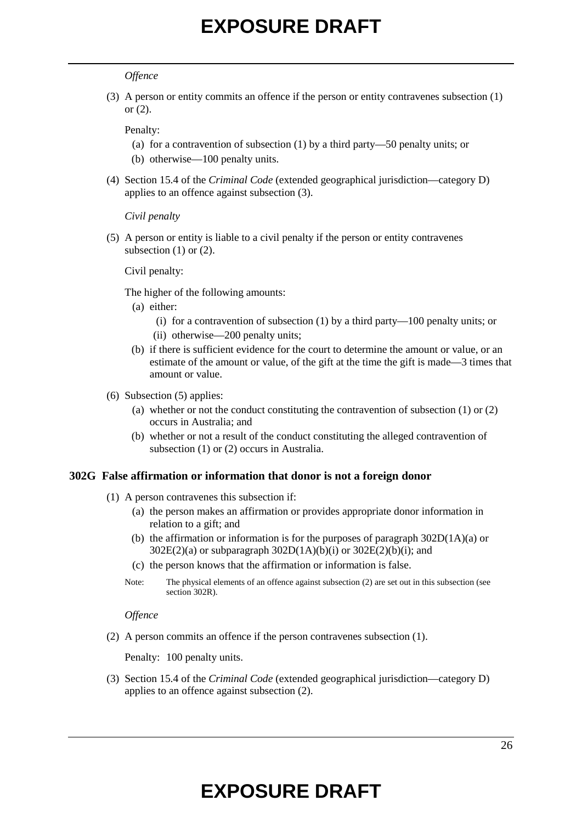#### *Offence*

(3) A person or entity commits an offence if the person or entity contravenes subsection (1) or (2).

Penalty:

- (a) for a contravention of subsection (1) by a third party—50 penalty units; or
- (b) otherwise—100 penalty units.
- (4) Section 15.4 of the *Criminal Code* (extended geographical jurisdiction—category D) applies to an offence against subsection (3).

*Civil penalty*

(5) A person or entity is liable to a civil penalty if the person or entity contravenes subsection  $(1)$  or  $(2)$ .

Civil penalty:

The higher of the following amounts:

- (a) either:
	- (i) for a contravention of subsection (1) by a third party—100 penalty units; or
	- (ii) otherwise—200 penalty units;
- (b) if there is sufficient evidence for the court to determine the amount or value, or an estimate of the amount or value, of the gift at the time the gift is made—3 times that amount or value.
- (6) Subsection (5) applies:
	- (a) whether or not the conduct constituting the contravention of subsection (1) or (2) occurs in Australia; and
	- (b) whether or not a result of the conduct constituting the alleged contravention of subsection (1) or (2) occurs in Australia.

#### **302G False affirmation or information that donor is not a foreign donor**

- (1) A person contravenes this subsection if:
	- (a) the person makes an affirmation or provides appropriate donor information in relation to a gift; and
	- (b) the affirmation or information is for the purposes of paragraph 302D(1A)(a) or  $302E(2)(a)$  or subparagraph  $302D(1A)(b)(i)$  or  $302E(2)(b)(i)$ ; and
	- (c) the person knows that the affirmation or information is false.
	- Note: The physical elements of an offence against subsection (2) are set out in this subsection (see section 302R).

*Offence*

(2) A person commits an offence if the person contravenes subsection (1).

Penalty: 100 penalty units.

(3) Section 15.4 of the *Criminal Code* (extended geographical jurisdiction—category D) applies to an offence against subsection (2).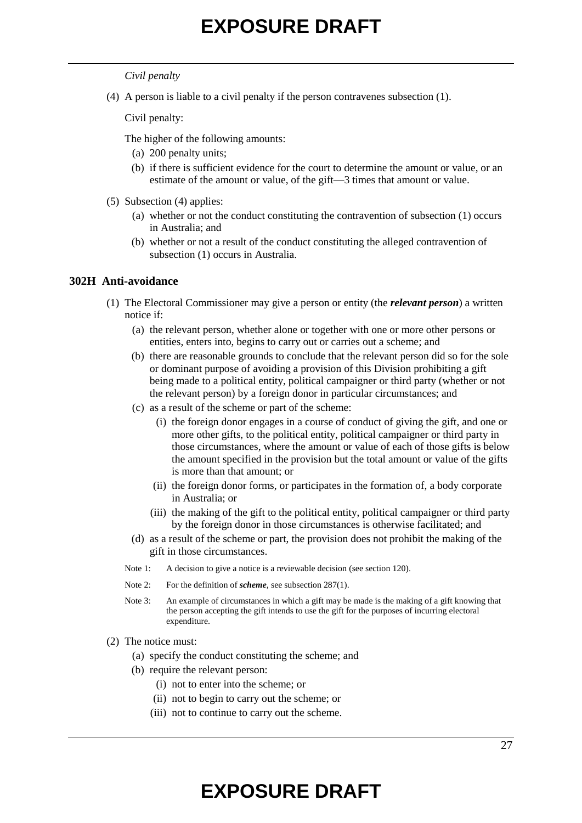#### *Civil penalty*

(4) A person is liable to a civil penalty if the person contravenes subsection (1).

Civil penalty:

The higher of the following amounts:

- (a) 200 penalty units;
- (b) if there is sufficient evidence for the court to determine the amount or value, or an estimate of the amount or value, of the gift—3 times that amount or value.
- (5) Subsection (4) applies:
	- (a) whether or not the conduct constituting the contravention of subsection (1) occurs in Australia; and
	- (b) whether or not a result of the conduct constituting the alleged contravention of subsection (1) occurs in Australia.

#### **302H Anti-avoidance**

- (1) The Electoral Commissioner may give a person or entity (the *relevant person*) a written notice if:
	- (a) the relevant person, whether alone or together with one or more other persons or entities, enters into, begins to carry out or carries out a scheme; and
	- (b) there are reasonable grounds to conclude that the relevant person did so for the sole or dominant purpose of avoiding a provision of this Division prohibiting a gift being made to a political entity, political campaigner or third party (whether or not the relevant person) by a foreign donor in particular circumstances; and
	- (c) as a result of the scheme or part of the scheme:
		- (i) the foreign donor engages in a course of conduct of giving the gift, and one or more other gifts, to the political entity, political campaigner or third party in those circumstances, where the amount or value of each of those gifts is below the amount specified in the provision but the total amount or value of the gifts is more than that amount; or
		- (ii) the foreign donor forms, or participates in the formation of, a body corporate in Australia; or
		- (iii) the making of the gift to the political entity, political campaigner or third party by the foreign donor in those circumstances is otherwise facilitated; and
	- (d) as a result of the scheme or part, the provision does not prohibit the making of the gift in those circumstances.
	- Note 1: A decision to give a notice is a reviewable decision (see section 120).
	- Note 2: For the definition of *scheme*, see subsection 287(1).
	- Note 3: An example of circumstances in which a gift may be made is the making of a gift knowing that the person accepting the gift intends to use the gift for the purposes of incurring electoral expenditure.
- (2) The notice must:
	- (a) specify the conduct constituting the scheme; and
	- (b) require the relevant person:
		- (i) not to enter into the scheme; or
		- (ii) not to begin to carry out the scheme; or
		- (iii) not to continue to carry out the scheme.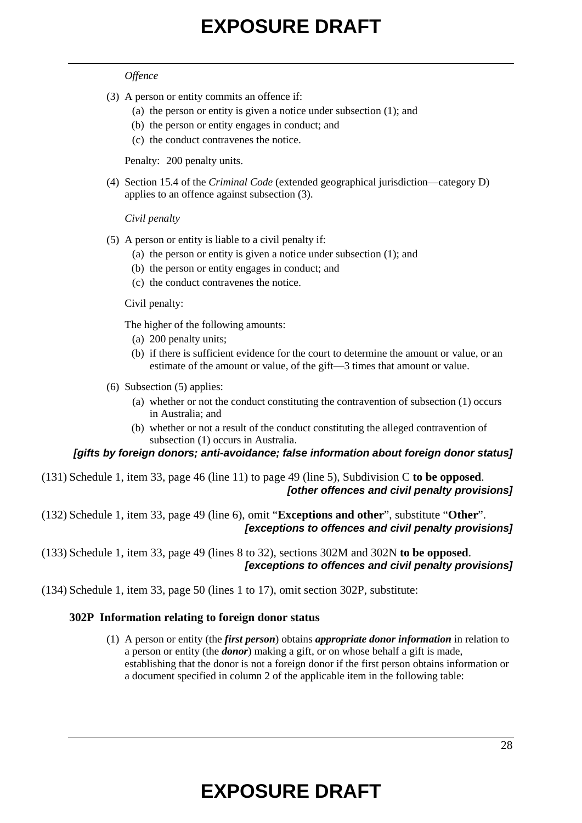#### *Offence*

- (3) A person or entity commits an offence if:
	- (a) the person or entity is given a notice under subsection (1); and
	- (b) the person or entity engages in conduct; and
	- (c) the conduct contravenes the notice.

Penalty: 200 penalty units.

(4) Section 15.4 of the *Criminal Code* (extended geographical jurisdiction—category D) applies to an offence against subsection (3).

*Civil penalty*

- (5) A person or entity is liable to a civil penalty if:
	- (a) the person or entity is given a notice under subsection (1); and
	- (b) the person or entity engages in conduct; and
	- (c) the conduct contravenes the notice.

Civil penalty:

The higher of the following amounts:

- (a) 200 penalty units;
- (b) if there is sufficient evidence for the court to determine the amount or value, or an estimate of the amount or value, of the gift—3 times that amount or value.
- (6) Subsection (5) applies:
	- (a) whether or not the conduct constituting the contravention of subsection (1) occurs in Australia; and
	- (b) whether or not a result of the conduct constituting the alleged contravention of subsection (1) occurs in Australia.

### *[gifts by foreign donors; anti-avoidance; false information about foreign donor status]*

- (131) Schedule 1, item 33, page 46 (line 11) to page 49 (line 5), Subdivision C **to be opposed**. *[other offences and civil penalty provisions]*
- (132) Schedule 1, item 33, page 49 (line 6), omit "**Exceptions and other**", substitute "**Other**". *[exceptions to offences and civil penalty provisions]*

(133) Schedule 1, item 33, page 49 (lines 8 to 32), sections 302M and 302N **to be opposed**. *[exceptions to offences and civil penalty provisions]*

(134) Schedule 1, item 33, page 50 (lines 1 to 17), omit section 302P, substitute:

### **302P Information relating to foreign donor status**

(1) A person or entity (the *first person*) obtains *appropriate donor information* in relation to a person or entity (the *donor*) making a gift, or on whose behalf a gift is made, establishing that the donor is not a foreign donor if the first person obtains information or a document specified in column 2 of the applicable item in the following table: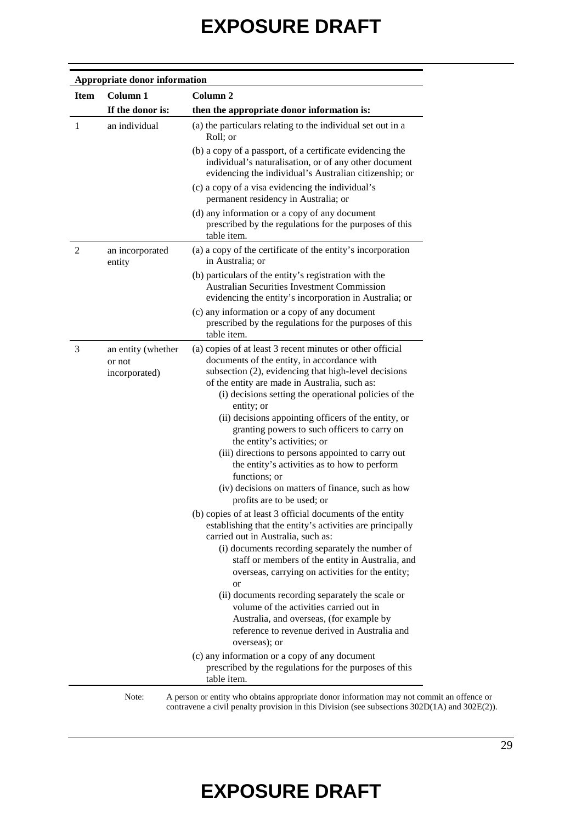|                | Appropriate donor information                 |                                                                                                                                                                                                                                                                                                                                                                                                                                                                                                                                                                                                                                           |  |  |  |
|----------------|-----------------------------------------------|-------------------------------------------------------------------------------------------------------------------------------------------------------------------------------------------------------------------------------------------------------------------------------------------------------------------------------------------------------------------------------------------------------------------------------------------------------------------------------------------------------------------------------------------------------------------------------------------------------------------------------------------|--|--|--|
| <b>Item</b>    | Column 1                                      | Column <sub>2</sub>                                                                                                                                                                                                                                                                                                                                                                                                                                                                                                                                                                                                                       |  |  |  |
|                | If the donor is:                              | then the appropriate donor information is:                                                                                                                                                                                                                                                                                                                                                                                                                                                                                                                                                                                                |  |  |  |
| 1              | an individual                                 | (a) the particulars relating to the individual set out in a<br>Roll; or                                                                                                                                                                                                                                                                                                                                                                                                                                                                                                                                                                   |  |  |  |
|                |                                               | (b) a copy of a passport, of a certificate evidencing the<br>individual's naturalisation, or of any other document<br>evidencing the individual's Australian citizenship; or                                                                                                                                                                                                                                                                                                                                                                                                                                                              |  |  |  |
|                |                                               | (c) a copy of a visa evidencing the individual's<br>permanent residency in Australia; or                                                                                                                                                                                                                                                                                                                                                                                                                                                                                                                                                  |  |  |  |
|                |                                               | (d) any information or a copy of any document<br>prescribed by the regulations for the purposes of this<br>table item.                                                                                                                                                                                                                                                                                                                                                                                                                                                                                                                    |  |  |  |
| $\overline{2}$ | an incorporated<br>entity                     | (a) a copy of the certificate of the entity's incorporation<br>in Australia: or                                                                                                                                                                                                                                                                                                                                                                                                                                                                                                                                                           |  |  |  |
|                |                                               | (b) particulars of the entity's registration with the<br><b>Australian Securities Investment Commission</b><br>evidencing the entity's incorporation in Australia; or                                                                                                                                                                                                                                                                                                                                                                                                                                                                     |  |  |  |
|                |                                               | (c) any information or a copy of any document<br>prescribed by the regulations for the purposes of this<br>table item.                                                                                                                                                                                                                                                                                                                                                                                                                                                                                                                    |  |  |  |
| 3              | an entity (whether<br>or not<br>incorporated) | (a) copies of at least 3 recent minutes or other official<br>documents of the entity, in accordance with<br>subsection (2), evidencing that high-level decisions<br>of the entity are made in Australia, such as:<br>(i) decisions setting the operational policies of the<br>entity; or<br>(ii) decisions appointing officers of the entity, or<br>granting powers to such officers to carry on<br>the entity's activities; or<br>(iii) directions to persons appointed to carry out<br>the entity's activities as to how to perform<br>functions; or<br>(iv) decisions on matters of finance, such as how<br>profits are to be used; or |  |  |  |
|                |                                               | (b) copies of at least 3 official documents of the entity<br>establishing that the entity's activities are principally<br>carried out in Australia, such as:<br>(i) documents recording separately the number of<br>staff or members of the entity in Australia, and<br>overseas, carrying on activities for the entity;<br>or<br>(ii) documents recording separately the scale or<br>volume of the activities carried out in<br>Australia, and overseas, (for example by<br>reference to revenue derived in Australia and<br>overseas); or<br>(c) any information or a copy of any document                                              |  |  |  |
|                |                                               | prescribed by the regulations for the purposes of this<br>table item.                                                                                                                                                                                                                                                                                                                                                                                                                                                                                                                                                                     |  |  |  |

Note: A person or entity who obtains appropriate donor information may not commit an offence or contravene a civil penalty provision in this Division (see subsections 302D(1A) and 302E(2)).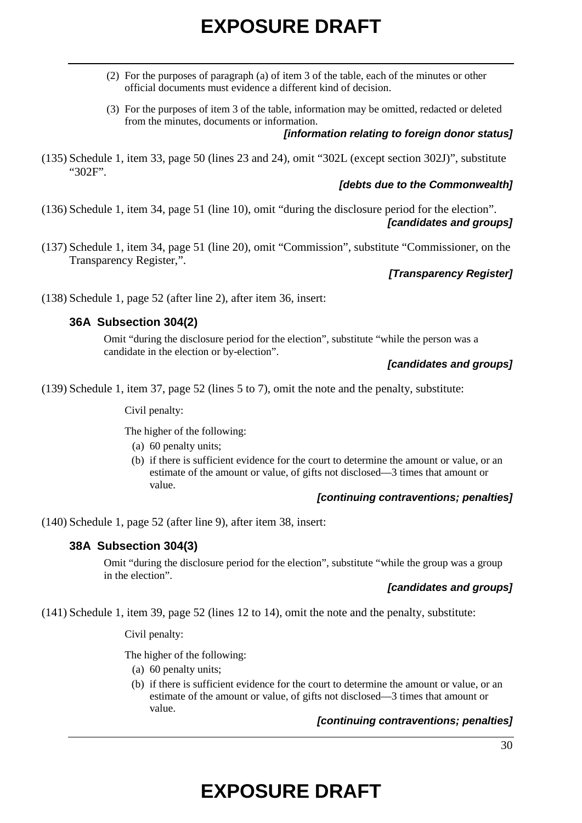- (2) For the purposes of paragraph (a) of item 3 of the table, each of the minutes or other official documents must evidence a different kind of decision.
- (3) For the purposes of item 3 of the table, information may be omitted, redacted or deleted from the minutes, documents or information.

### *[information relating to foreign donor status]*

(135) Schedule 1, item 33, page 50 (lines 23 and 24), omit "302L (except section 302J)", substitute "302F".

## *[debts due to the Commonwealth]*

- (136) Schedule 1, item 34, page 51 (line 10), omit "during the disclosure period for the election". *[candidates and groups]*
- (137) Schedule 1, item 34, page 51 (line 20), omit "Commission", substitute "Commissioner, on the Transparency Register,".

## *[Transparency Register]*

(138) Schedule 1, page 52 (after line 2), after item 36, insert:

## **36A Subsection 304(2)**

Omit "during the disclosure period for the election", substitute "while the person was a candidate in the election or by-election".

### *[candidates and groups]*

(139) Schedule 1, item 37, page 52 (lines 5 to 7), omit the note and the penalty, substitute:

Civil penalty:

The higher of the following:

- (a) 60 penalty units;
- (b) if there is sufficient evidence for the court to determine the amount or value, or an estimate of the amount or value, of gifts not disclosed—3 times that amount or value.

### *[continuing contraventions; penalties]*

(140) Schedule 1, page 52 (after line 9), after item 38, insert:

## **38A Subsection 304(3)**

Omit "during the disclosure period for the election", substitute "while the group was a group in the election".

### *[candidates and groups]*

(141) Schedule 1, item 39, page 52 (lines 12 to 14), omit the note and the penalty, substitute:

Civil penalty:

The higher of the following:

- (a) 60 penalty units;
- (b) if there is sufficient evidence for the court to determine the amount or value, or an estimate of the amount or value, of gifts not disclosed—3 times that amount or value.

## *[continuing contraventions; penalties]*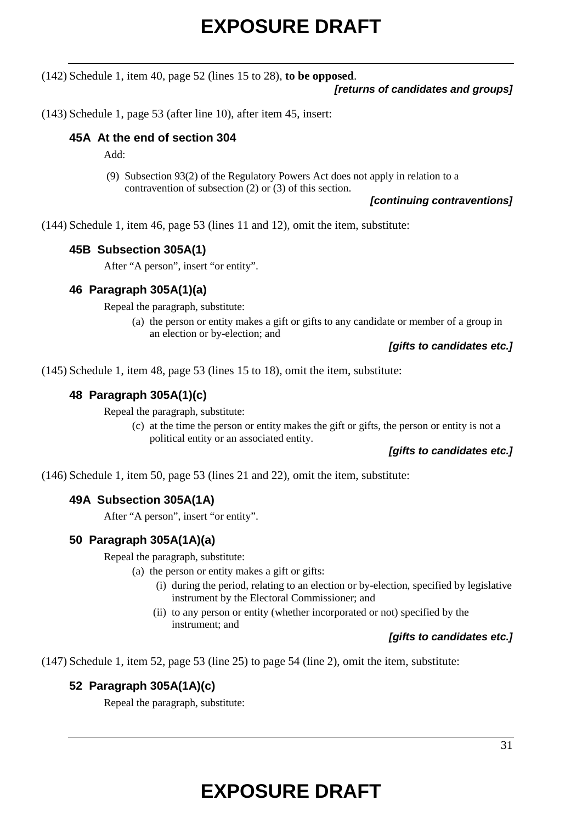(142) Schedule 1, item 40, page 52 (lines 15 to 28), **to be opposed**.

### *[returns of candidates and groups]*

(143) Schedule 1, page 53 (after line 10), after item 45, insert:

## **45A At the end of section 304**

Add:

(9) Subsection 93(2) of the Regulatory Powers Act does not apply in relation to a contravention of subsection (2) or (3) of this section.

*[continuing contraventions]*

(144) Schedule 1, item 46, page 53 (lines 11 and 12), omit the item, substitute:

### **45B Subsection 305A(1)**

After "A person", insert "or entity".

### **46 Paragraph 305A(1)(a)**

Repeal the paragraph, substitute:

(a) the person or entity makes a gift or gifts to any candidate or member of a group in an election or by-election; and

### *[gifts to candidates etc.]*

(145) Schedule 1, item 48, page 53 (lines 15 to 18), omit the item, substitute:

### **48 Paragraph 305A(1)(c)**

Repeal the paragraph, substitute:

(c) at the time the person or entity makes the gift or gifts, the person or entity is not a political entity or an associated entity.

### *[gifts to candidates etc.]*

(146) Schedule 1, item 50, page 53 (lines 21 and 22), omit the item, substitute:

## **49A Subsection 305A(1A)**

After "A person", insert "or entity".

### **50 Paragraph 305A(1A)(a)**

Repeal the paragraph, substitute:

- (a) the person or entity makes a gift or gifts:
	- (i) during the period, relating to an election or by-election, specified by legislative instrument by the Electoral Commissioner; and
	- (ii) to any person or entity (whether incorporated or not) specified by the instrument; and

### *[gifts to candidates etc.]*

(147) Schedule 1, item 52, page 53 (line 25) to page 54 (line 2), omit the item, substitute:

## **52 Paragraph 305A(1A)(c)**

Repeal the paragraph, substitute: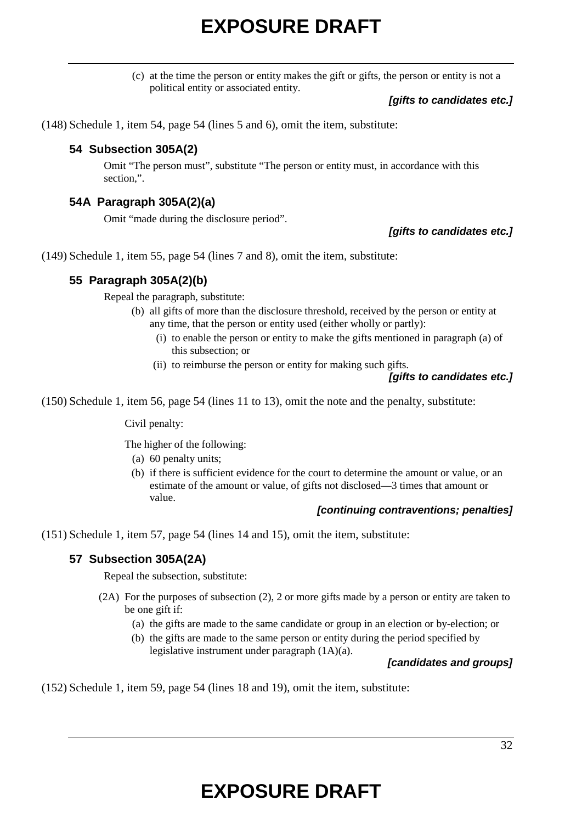(c) at the time the person or entity makes the gift or gifts, the person or entity is not a political entity or associated entity.

### *[gifts to candidates etc.]*

(148) Schedule 1, item 54, page 54 (lines 5 and 6), omit the item, substitute:

## **54 Subsection 305A(2)**

Omit "The person must", substitute "The person or entity must, in accordance with this section,".

### **54A Paragraph 305A(2)(a)**

Omit "made during the disclosure period".

### *[gifts to candidates etc.]*

(149) Schedule 1, item 55, page 54 (lines 7 and 8), omit the item, substitute:

## **55 Paragraph 305A(2)(b)**

Repeal the paragraph, substitute:

- (b) all gifts of more than the disclosure threshold, received by the person or entity at any time, that the person or entity used (either wholly or partly):
	- (i) to enable the person or entity to make the gifts mentioned in paragraph (a) of this subsection; or
	- (ii) to reimburse the person or entity for making such gifts.

### *[gifts to candidates etc.]*

(150) Schedule 1, item 56, page 54 (lines 11 to 13), omit the note and the penalty, substitute:

Civil penalty:

The higher of the following:

- (a) 60 penalty units;
- (b) if there is sufficient evidence for the court to determine the amount or value, or an estimate of the amount or value, of gifts not disclosed—3 times that amount or value.

#### *[continuing contraventions; penalties]*

(151) Schedule 1, item 57, page 54 (lines 14 and 15), omit the item, substitute:

### **57 Subsection 305A(2A)**

Repeal the subsection, substitute:

- (2A) For the purposes of subsection (2), 2 or more gifts made by a person or entity are taken to be one gift if:
	- (a) the gifts are made to the same candidate or group in an election or by-election; or
	- (b) the gifts are made to the same person or entity during the period specified by legislative instrument under paragraph (1A)(a).

### *[candidates and groups]*

(152) Schedule 1, item 59, page 54 (lines 18 and 19), omit the item, substitute: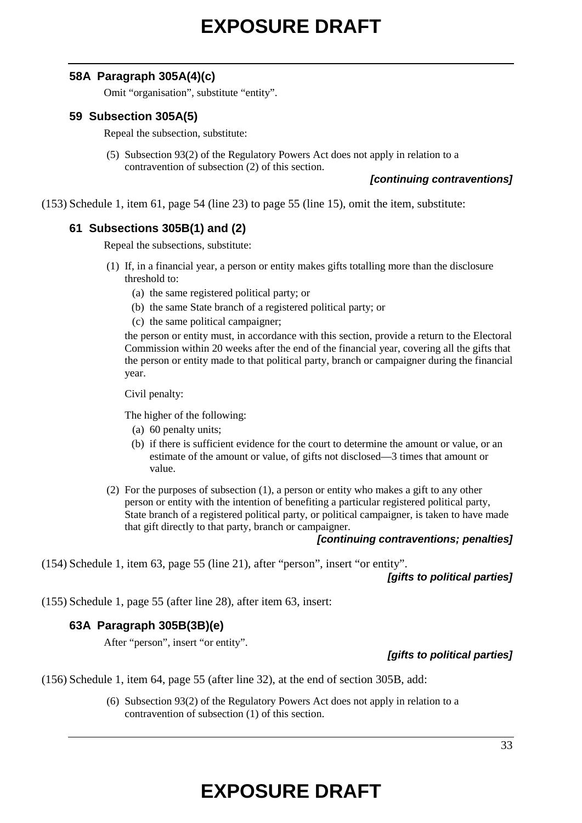## **58A Paragraph 305A(4)(c)**

Omit "organisation", substitute "entity".

## **59 Subsection 305A(5)**

Repeal the subsection, substitute:

(5) Subsection 93(2) of the Regulatory Powers Act does not apply in relation to a contravention of subsection (2) of this section.

### *[continuing contraventions]*

(153) Schedule 1, item 61, page 54 (line 23) to page 55 (line 15), omit the item, substitute:

# **61 Subsections 305B(1) and (2)**

Repeal the subsections, substitute:

- (1) If, in a financial year, a person or entity makes gifts totalling more than the disclosure threshold to:
	- (a) the same registered political party; or
	- (b) the same State branch of a registered political party; or
	- (c) the same political campaigner;

the person or entity must, in accordance with this section, provide a return to the Electoral Commission within 20 weeks after the end of the financial year, covering all the gifts that the person or entity made to that political party, branch or campaigner during the financial year.

Civil penalty:

The higher of the following:

- (a) 60 penalty units;
- (b) if there is sufficient evidence for the court to determine the amount or value, or an estimate of the amount or value, of gifts not disclosed—3 times that amount or value.
- (2) For the purposes of subsection (1), a person or entity who makes a gift to any other person or entity with the intention of benefiting a particular registered political party, State branch of a registered political party, or political campaigner, is taken to have made that gift directly to that party, branch or campaigner.

#### *[continuing contraventions; penalties]*

(154) Schedule 1, item 63, page 55 (line 21), after "person", insert "or entity".

*[gifts to political parties]*

(155) Schedule 1, page 55 (after line 28), after item 63, insert:

## **63A Paragraph 305B(3B)(e)**

After "person", insert "or entity".

## *[gifts to political parties]*

(156) Schedule 1, item 64, page 55 (after line 32), at the end of section 305B, add:

(6) Subsection 93(2) of the Regulatory Powers Act does not apply in relation to a contravention of subsection (1) of this section.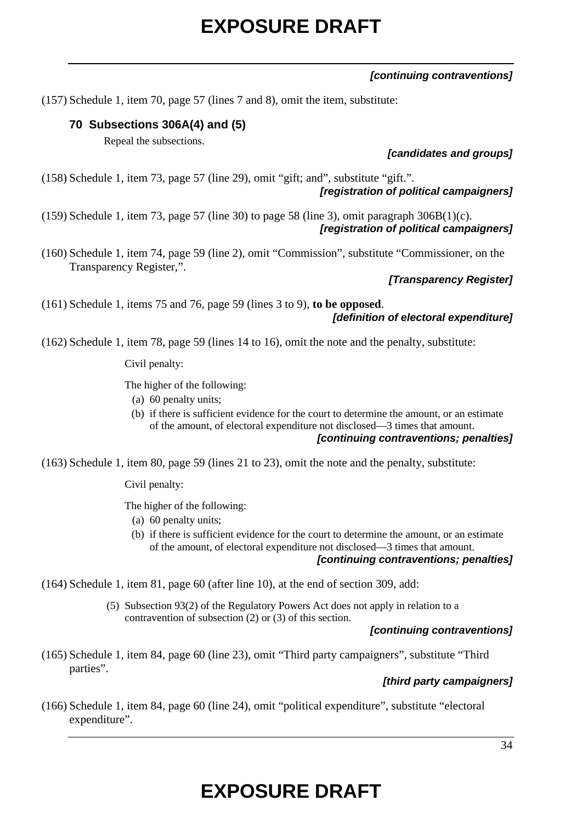## *[continuing contraventions]*

(157) Schedule 1, item 70, page 57 (lines 7 and 8), omit the item, substitute:

# **70 Subsections 306A(4) and (5)**

Repeal the subsections.

*[candidates and groups]*

(158) Schedule 1, item 73, page 57 (line 29), omit "gift; and", substitute "gift.". *[registration of political campaigners]*

(159) Schedule 1, item 73, page 57 (line 30) to page 58 (line 3), omit paragraph 306B(1)(c). *[registration of political campaigners]*

(160) Schedule 1, item 74, page 59 (line 2), omit "Commission", substitute "Commissioner, on the Transparency Register,".

### *[Transparency Register]*

(161) Schedule 1, items 75 and 76, page 59 (lines 3 to 9), **to be opposed**. *[definition of electoral expenditure]*

(162) Schedule 1, item 78, page 59 (lines 14 to 16), omit the note and the penalty, substitute:

Civil penalty:

The higher of the following:

- (a) 60 penalty units;
- (b) if there is sufficient evidence for the court to determine the amount, or an estimate of the amount, of electoral expenditure not disclosed—3 times that amount.

### *[continuing contraventions; penalties]*

(163) Schedule 1, item 80, page 59 (lines 21 to 23), omit the note and the penalty, substitute:

Civil penalty:

The higher of the following:

- (a) 60 penalty units;
- (b) if there is sufficient evidence for the court to determine the amount, or an estimate of the amount, of electoral expenditure not disclosed—3 times that amount.

### *[continuing contraventions; penalties]*

- (164) Schedule 1, item 81, page 60 (after line 10), at the end of section 309, add:
	- (5) Subsection 93(2) of the Regulatory Powers Act does not apply in relation to a contravention of subsection (2) or (3) of this section.

### *[continuing contraventions]*

(165) Schedule 1, item 84, page 60 (line 23), omit "Third party campaigners", substitute "Third parties".

### *[third party campaigners]*

(166) Schedule 1, item 84, page 60 (line 24), omit "political expenditure", substitute "electoral expenditure".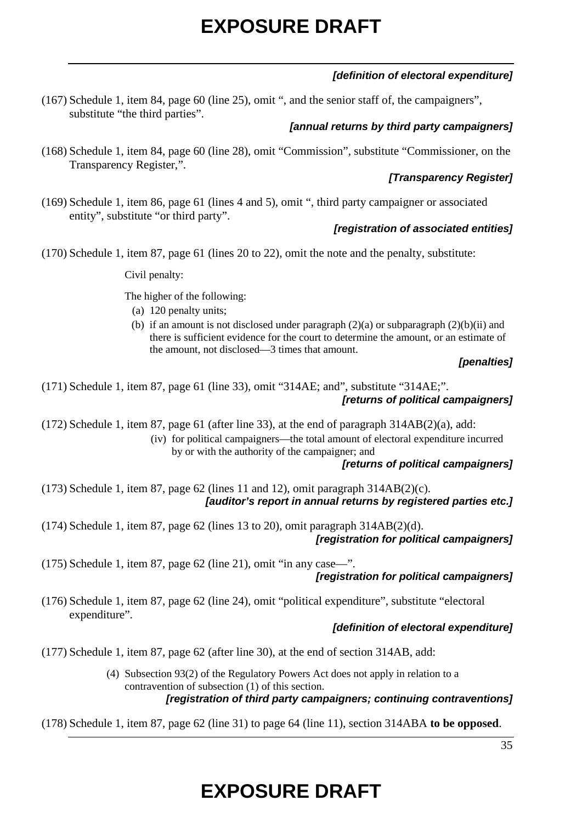## *[definition of electoral expenditure]*

(167) Schedule 1, item 84, page 60 (line 25), omit ", and the senior staff of, the campaigners", substitute "the third parties".

## *[annual returns by third party campaigners]*

(168) Schedule 1, item 84, page 60 (line 28), omit "Commission", substitute "Commissioner, on the Transparency Register,".

## *[Transparency Register]*

(169) Schedule 1, item 86, page 61 (lines 4 and 5), omit ", third party campaigner or associated entity", substitute "or third party".

## *[registration of associated entities]*

(170) Schedule 1, item 87, page 61 (lines 20 to 22), omit the note and the penalty, substitute:

Civil penalty:

The higher of the following:

- (a) 120 penalty units;
- (b) if an amount is not disclosed under paragraph  $(2)(a)$  or subparagraph  $(2)(b)(ii)$  and there is sufficient evidence for the court to determine the amount, or an estimate of the amount, not disclosed—3 times that amount.

### *[penalties]*

(171) Schedule 1, item 87, page 61 (line 33), omit "314AE; and", substitute "314AE;". *[returns of political campaigners]*

 $(172)$  Schedule 1, item 87, page 61 (after line 33), at the end of paragraph  $314AB(2)(a)$ , add: (iv) for political campaigners—the total amount of electoral expenditure incurred

by or with the authority of the campaigner; and

### *[returns of political campaigners]*

(173) Schedule 1, item 87, page 62 (lines 11 and 12), omit paragraph 314AB(2)(c). *[auditor's report in annual returns by registered parties etc.]*

(174) Schedule 1, item 87, page 62 (lines 13 to 20), omit paragraph 314AB(2)(d). *[registration for political campaigners]*

(175) Schedule 1, item 87, page 62 (line 21), omit "in any case—".

## *[registration for political campaigners]*

(176) Schedule 1, item 87, page 62 (line 24), omit "political expenditure", substitute "electoral expenditure".

## *[definition of electoral expenditure]*

- (177) Schedule 1, item 87, page 62 (after line 30), at the end of section 314AB, add:
	- (4) Subsection 93(2) of the Regulatory Powers Act does not apply in relation to a contravention of subsection (1) of this section.

## *[registration of third party campaigners; continuing contraventions]*

(178) Schedule 1, item 87, page 62 (line 31) to page 64 (line 11), section 314ABA **to be opposed**.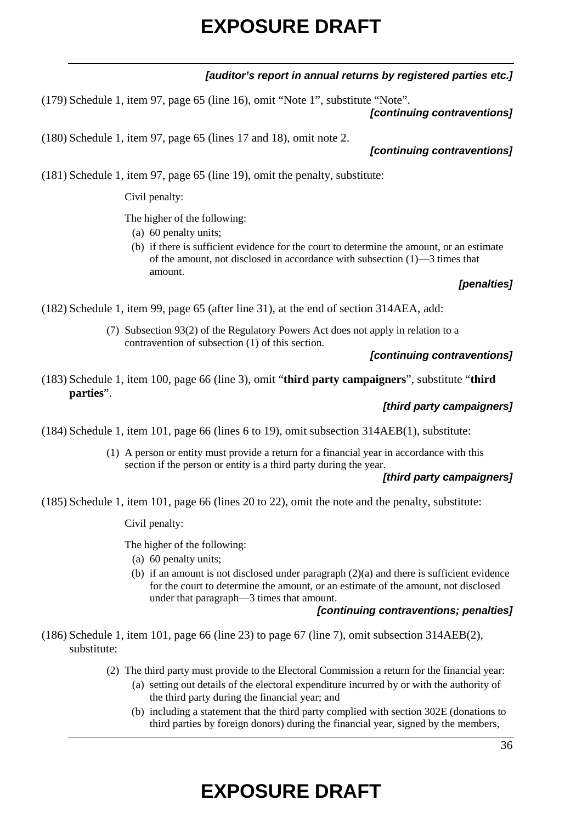*[auditor's report in annual returns by registered parties etc.]*

(179) Schedule 1, item 97, page 65 (line 16), omit "Note 1", substitute "Note". *[continuing contraventions]*

(180) Schedule 1, item 97, page 65 (lines 17 and 18), omit note 2.

(181) Schedule 1, item 97, page 65 (line 19), omit the penalty, substitute:

Civil penalty:

The higher of the following:

- (a) 60 penalty units;
- (b) if there is sufficient evidence for the court to determine the amount, or an estimate of the amount, not disclosed in accordance with subsection (1)—3 times that amount.

## *[penalties]*

(182) Schedule 1, item 99, page 65 (after line 31), at the end of section 314AEA, add:

(7) Subsection 93(2) of the Regulatory Powers Act does not apply in relation to a contravention of subsection (1) of this section.

#### *[continuing contraventions]*

(183) Schedule 1, item 100, page 66 (line 3), omit "**third party campaigners**", substitute "**third parties**".

#### *[third party campaigners]*

(184) Schedule 1, item 101, page 66 (lines 6 to 19), omit subsection 314AEB(1), substitute:

(1) A person or entity must provide a return for a financial year in accordance with this section if the person or entity is a third party during the year.

## *[third party campaigners]*

(185) Schedule 1, item 101, page 66 (lines 20 to 22), omit the note and the penalty, substitute:

Civil penalty:

The higher of the following:

- (a) 60 penalty units;
- (b) if an amount is not disclosed under paragraph (2)(a) and there is sufficient evidence for the court to determine the amount, or an estimate of the amount, not disclosed under that paragraph—3 times that amount.

#### *[continuing contraventions; penalties]*

(186) Schedule 1, item 101, page 66 (line 23) to page 67 (line 7), omit subsection 314AEB(2), substitute:

- (2) The third party must provide to the Electoral Commission a return for the financial year:
	- (a) setting out details of the electoral expenditure incurred by or with the authority of the third party during the financial year; and
	- (b) including a statement that the third party complied with section 302E (donations to third parties by foreign donors) during the financial year, signed by the members,

### *[continuing contraventions]*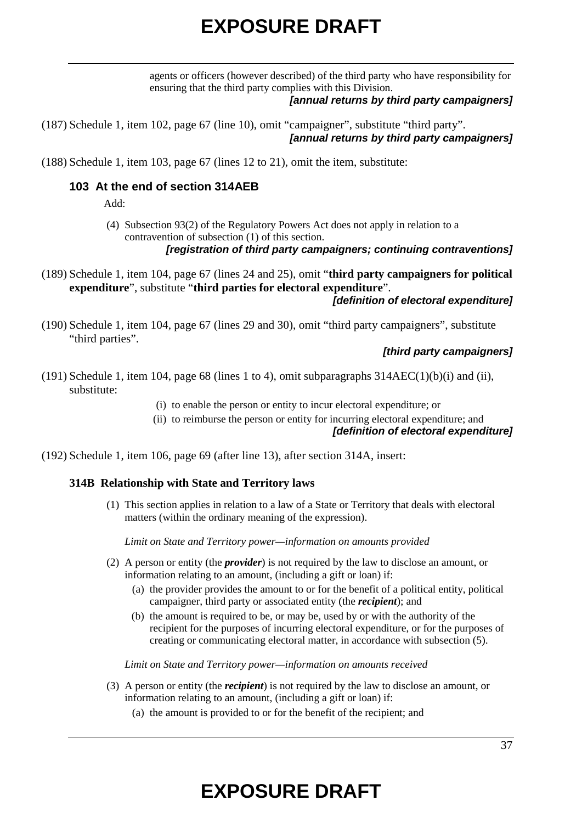agents or officers (however described) of the third party who have responsibility for ensuring that the third party complies with this Division.

### *[annual returns by third party campaigners]*

(187) Schedule 1, item 102, page 67 (line 10), omit "campaigner", substitute "third party". *[annual returns by third party campaigners]*

(188) Schedule 1, item 103, page 67 (lines 12 to 21), omit the item, substitute:

### **103 At the end of section 314AEB**

Add:

(4) Subsection 93(2) of the Regulatory Powers Act does not apply in relation to a contravention of subsection (1) of this section.

*[registration of third party campaigners; continuing contraventions]*

- (189) Schedule 1, item 104, page 67 (lines 24 and 25), omit "**third party campaigners for political expenditure**", substitute "**third parties for electoral expenditure**". *[definition of electoral expenditure]*
- (190) Schedule 1, item 104, page 67 (lines 29 and 30), omit "third party campaigners", substitute "third parties".

### *[third party campaigners]*

- (191) Schedule 1, item 104, page 68 (lines 1 to 4), omit subparagraphs 314AEC(1)(b)(i) and (ii), substitute:
	- (i) to enable the person or entity to incur electoral expenditure; or
	- (ii) to reimburse the person or entity for incurring electoral expenditure; and

## *[definition of electoral expenditure]*

(192) Schedule 1, item 106, page 69 (after line 13), after section 314A, insert:

### **314B Relationship with State and Territory laws**

(1) This section applies in relation to a law of a State or Territory that deals with electoral matters (within the ordinary meaning of the expression).

*Limit on State and Territory power—information on amounts provided*

- (2) A person or entity (the *provider*) is not required by the law to disclose an amount, or information relating to an amount, (including a gift or loan) if:
	- (a) the provider provides the amount to or for the benefit of a political entity, political campaigner, third party or associated entity (the *recipient*); and
	- (b) the amount is required to be, or may be, used by or with the authority of the recipient for the purposes of incurring electoral expenditure, or for the purposes of creating or communicating electoral matter, in accordance with subsection (5).

*Limit on State and Territory power—information on amounts received*

- (3) A person or entity (the *recipient*) is not required by the law to disclose an amount, or information relating to an amount, (including a gift or loan) if:
	- (a) the amount is provided to or for the benefit of the recipient; and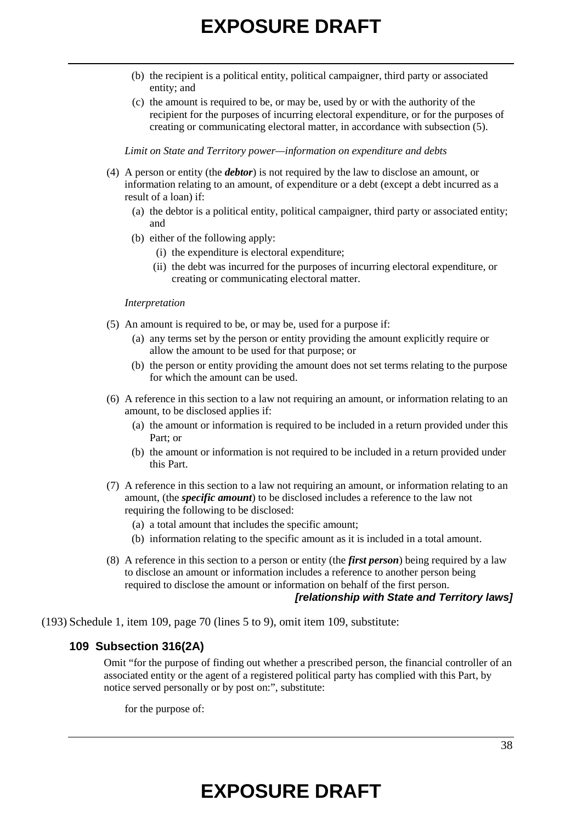- (b) the recipient is a political entity, political campaigner, third party or associated entity; and
- (c) the amount is required to be, or may be, used by or with the authority of the recipient for the purposes of incurring electoral expenditure, or for the purposes of creating or communicating electoral matter, in accordance with subsection (5).

*Limit on State and Territory power—information on expenditure and debts*

- (4) A person or entity (the *debtor*) is not required by the law to disclose an amount, or information relating to an amount, of expenditure or a debt (except a debt incurred as a result of a loan) if:
	- (a) the debtor is a political entity, political campaigner, third party or associated entity; and
	- (b) either of the following apply:
		- (i) the expenditure is electoral expenditure;
		- (ii) the debt was incurred for the purposes of incurring electoral expenditure, or creating or communicating electoral matter.

#### *Interpretation*

- (5) An amount is required to be, or may be, used for a purpose if:
	- (a) any terms set by the person or entity providing the amount explicitly require or allow the amount to be used for that purpose; or
	- (b) the person or entity providing the amount does not set terms relating to the purpose for which the amount can be used.
- (6) A reference in this section to a law not requiring an amount, or information relating to an amount, to be disclosed applies if:
	- (a) the amount or information is required to be included in a return provided under this Part; or
	- (b) the amount or information is not required to be included in a return provided under this Part.
- (7) A reference in this section to a law not requiring an amount, or information relating to an amount, (the *specific amount*) to be disclosed includes a reference to the law not requiring the following to be disclosed:
	- (a) a total amount that includes the specific amount;
	- (b) information relating to the specific amount as it is included in a total amount.
- (8) A reference in this section to a person or entity (the *first person*) being required by a law to disclose an amount or information includes a reference to another person being required to disclose the amount or information on behalf of the first person.

### *[relationship with State and Territory laws]*

(193) Schedule 1, item 109, page 70 (lines 5 to 9), omit item 109, substitute:

### **109 Subsection 316(2A)**

Omit "for the purpose of finding out whether a prescribed person, the financial controller of an associated entity or the agent of a registered political party has complied with this Part, by notice served personally or by post on:", substitute:

for the purpose of: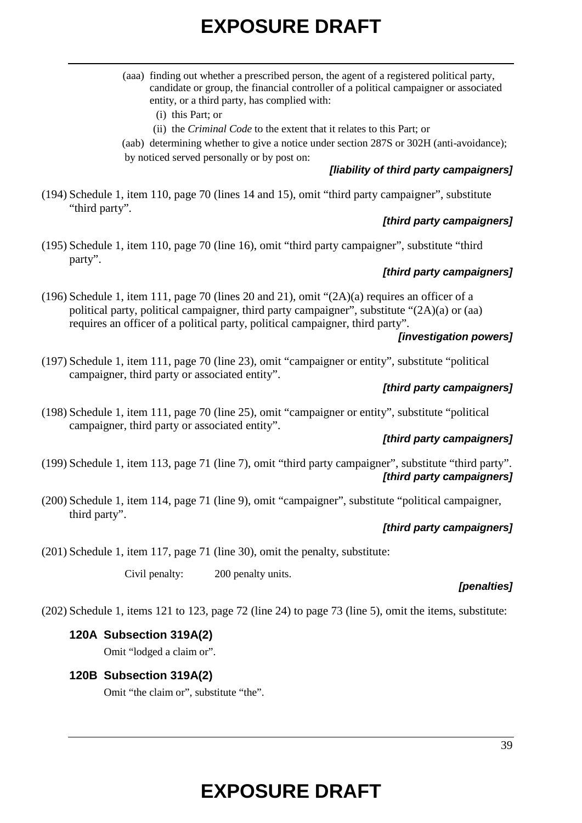|                          | (aaa) finding out whether a prescribed person, the agent of a registered political party,<br>candidate or group, the financial controller of a political campaigner or associated<br>entity, or a third party, has complied with:                                                                                                                                                  |
|--------------------------|------------------------------------------------------------------------------------------------------------------------------------------------------------------------------------------------------------------------------------------------------------------------------------------------------------------------------------------------------------------------------------|
|                          | $(i)$ this Part; or                                                                                                                                                                                                                                                                                                                                                                |
|                          | (ii) the <i>Criminal Code</i> to the extent that it relates to this Part; or                                                                                                                                                                                                                                                                                                       |
|                          | (aab) determining whether to give a notice under section 287S or 302H (anti-avoidance);                                                                                                                                                                                                                                                                                            |
|                          | by noticed served personally or by post on:                                                                                                                                                                                                                                                                                                                                        |
|                          | [liability of third party campaigners]                                                                                                                                                                                                                                                                                                                                             |
| $1 \t1 \t1 \t1 \t \t110$ | $\mathbf{1}$ $\mathbf{1}$ $\mathbf{1}$ $\mathbf{1}$ $\mathbf{1}$ $\mathbf{1}$ $\mathbf{1}$ $\mathbf{1}$ $\mathbf{1}$ $\mathbf{1}$ $\mathbf{1}$ $\mathbf{1}$ $\mathbf{1}$ $\mathbf{1}$ $\mathbf{1}$ $\mathbf{1}$ $\mathbf{1}$ $\mathbf{1}$ $\mathbf{1}$ $\mathbf{1}$ $\mathbf{1}$ $\mathbf{1}$ $\mathbf{1}$ $\mathbf{1}$ $\mathbf{$<br>$\ddot{\phantom{1}}$<br>$\sim$ $\sim$ $\sim$ |

(194) Schedule 1, item 110, page 70 (lines 14 and 15), omit "third party campaigner", substitute "third party".

## *[third party campaigners]*

(195) Schedule 1, item 110, page 70 (line 16), omit "third party campaigner", substitute "third party".

## *[third party campaigners]*

(196) Schedule 1, item 111, page 70 (lines 20 and 21), omit "(2A)(a) requires an officer of a political party, political campaigner, third party campaigner", substitute "(2A)(a) or (aa) requires an officer of a political party, political campaigner, third party".

## *[investigation powers]*

(197) Schedule 1, item 111, page 70 (line 23), omit "campaigner or entity", substitute "political campaigner, third party or associated entity".

## *[third party campaigners]*

(198) Schedule 1, item 111, page 70 (line 25), omit "campaigner or entity", substitute "political campaigner, third party or associated entity".

## *[third party campaigners]*

(199) Schedule 1, item 113, page 71 (line 7), omit "third party campaigner", substitute "third party". *[third party campaigners]*

(200) Schedule 1, item 114, page 71 (line 9), omit "campaigner", substitute "political campaigner, third party".

# *[third party campaigners]*

(201) Schedule 1, item 117, page 71 (line 30), omit the penalty, substitute:

Civil penalty: 200 penalty units.

## *[penalties]*

(202) Schedule 1, items 121 to 123, page 72 (line 24) to page 73 (line 5), omit the items, substitute:

# **120A Subsection 319A(2)**

Omit "lodged a claim or".

## **120B Subsection 319A(2)**

Omit "the claim or", substitute "the".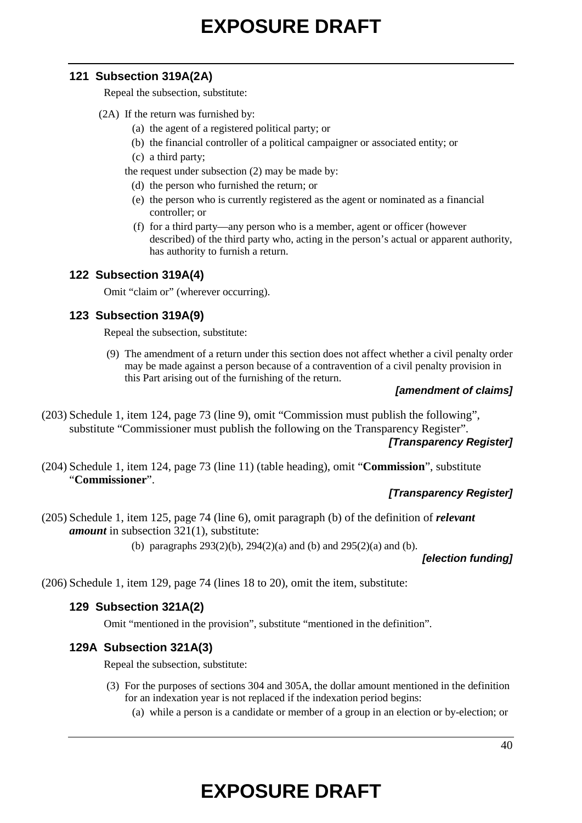## **121 Subsection 319A(2A)**

Repeal the subsection, substitute:

### (2A) If the return was furnished by:

- (a) the agent of a registered political party; or
- (b) the financial controller of a political campaigner or associated entity; or
- (c) a third party;

the request under subsection (2) may be made by:

- (d) the person who furnished the return; or
- (e) the person who is currently registered as the agent or nominated as a financial controller; or
- (f) for a third party—any person who is a member, agent or officer (however described) of the third party who, acting in the person's actual or apparent authority, has authority to furnish a return.

# **122 Subsection 319A(4)**

Omit "claim or" (wherever occurring).

# **123 Subsection 319A(9)**

Repeal the subsection, substitute:

(9) The amendment of a return under this section does not affect whether a civil penalty order may be made against a person because of a contravention of a civil penalty provision in this Part arising out of the furnishing of the return.

## *[amendment of claims]*

(203) Schedule 1, item 124, page 73 (line 9), omit "Commission must publish the following", substitute "Commissioner must publish the following on the Transparency Register".

## *[Transparency Register]*

(204) Schedule 1, item 124, page 73 (line 11) (table heading), omit "**Commission**", substitute "**Commissioner**".

# *[Transparency Register]*

(205) Schedule 1, item 125, page 74 (line 6), omit paragraph (b) of the definition of *relevant amount* in subsection 321(1), substitute:

(b) paragraphs 293(2)(b), 294(2)(a) and (b) and 295(2)(a) and (b).

*[election funding]*

(206) Schedule 1, item 129, page 74 (lines 18 to 20), omit the item, substitute:

# **129 Subsection 321A(2)**

Omit "mentioned in the provision", substitute "mentioned in the definition".

## **129A Subsection 321A(3)**

Repeal the subsection, substitute:

- (3) For the purposes of sections 304 and 305A, the dollar amount mentioned in the definition for an indexation year is not replaced if the indexation period begins:
	- (a) while a person is a candidate or member of a group in an election or by-election; or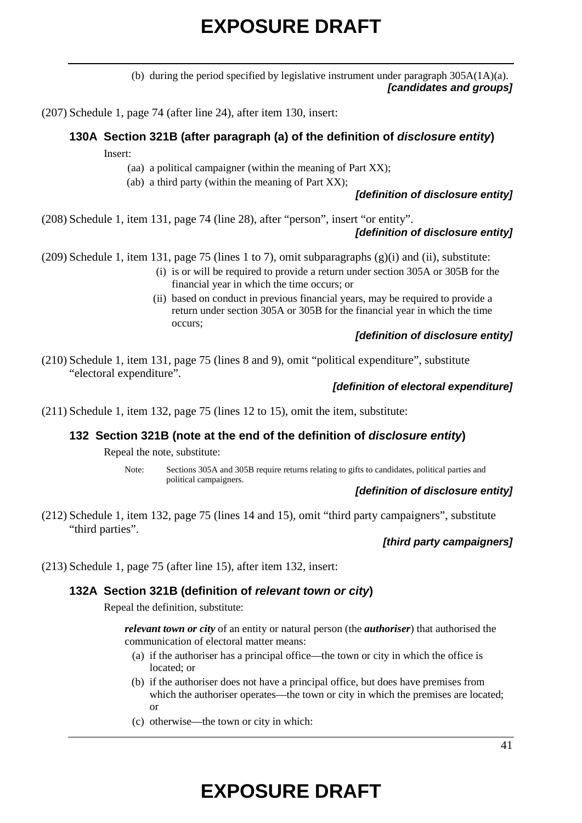(b) during the period specified by legislative instrument under paragraph 305A(1A)(a). *[candidates and groups]*

(207) Schedule 1, page 74 (after line 24), after item 130, insert:

# **130A Section 321B (after paragraph (a) of the definition of** *disclosure entity***)**

Insert:

(aa) a political campaigner (within the meaning of Part XX);

(ab) a third party (within the meaning of Part XX);

*[definition of disclosure entity]*

(208) Schedule 1, item 131, page 74 (line 28), after "person", insert "or entity".

### *[definition of disclosure entity]*

(209) Schedule 1, item 131, page 75 (lines 1 to 7), omit subparagraphs  $(g)(i)$  and (ii), substitute:

- (i) is or will be required to provide a return under section 305A or 305B for the financial year in which the time occurs; or
- (ii) based on conduct in previous financial years, may be required to provide a return under section 305A or 305B for the financial year in which the time occurs;

### *[definition of disclosure entity]*

(210) Schedule 1, item 131, page 75 (lines 8 and 9), omit "political expenditure", substitute "electoral expenditure".

### *[definition of electoral expenditure]*

(211) Schedule 1, item 132, page 75 (lines 12 to 15), omit the item, substitute:

#### **132 Section 321B (note at the end of the definition of** *disclosure entity***)**

Repeal the note, substitute:

Note: Sections 305A and 305B require returns relating to gifts to candidates, political parties and political campaigners.

#### *[definition of disclosure entity]*

(212) Schedule 1, item 132, page 75 (lines 14 and 15), omit "third party campaigners", substitute "third parties".

### *[third party campaigners]*

(213) Schedule 1, page 75 (after line 15), after item 132, insert:

### **132A Section 321B (definition of** *relevant town or city***)**

Repeal the definition, substitute:

*relevant town or city* of an entity or natural person (the *authoriser*) that authorised the communication of electoral matter means:

- (a) if the authoriser has a principal office—the town or city in which the office is located; or
- (b) if the authoriser does not have a principal office, but does have premises from which the authoriser operates—the town or city in which the premises are located; or
- (c) otherwise—the town or city in which: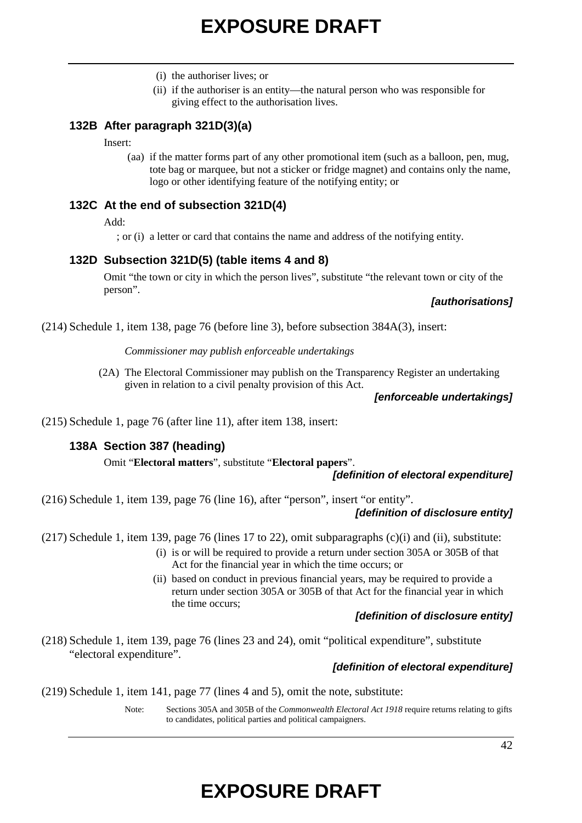- (i) the authoriser lives; or
- (ii) if the authoriser is an entity—the natural person who was responsible for giving effect to the authorisation lives.

### **132B After paragraph 321D(3)(a)**

Insert:

(aa) if the matter forms part of any other promotional item (such as a balloon, pen, mug, tote bag or marquee, but not a sticker or fridge magnet) and contains only the name, logo or other identifying feature of the notifying entity; or

#### **132C At the end of subsection 321D(4)**

Add:

; or (i) a letter or card that contains the name and address of the notifying entity.

### **132D Subsection 321D(5) (table items 4 and 8)**

Omit "the town or city in which the person lives", substitute "the relevant town or city of the person".

#### *[authorisations]*

(214) Schedule 1, item 138, page 76 (before line 3), before subsection 384A(3), insert:

*Commissioner may publish enforceable undertakings*

(2A) The Electoral Commissioner may publish on the Transparency Register an undertaking given in relation to a civil penalty provision of this Act.

*[enforceable undertakings]*

(215) Schedule 1, page 76 (after line 11), after item 138, insert:

### **138A Section 387 (heading)**

Omit "**Electoral matters**", substitute "**Electoral papers**".

#### *[definition of electoral expenditure]*

(216) Schedule 1, item 139, page 76 (line 16), after "person", insert "or entity".

#### *[definition of disclosure entity]*

(217) Schedule 1, item 139, page 76 (lines 17 to 22), omit subparagraphs (c)(i) and (ii), substitute:

- (i) is or will be required to provide a return under section 305A or 305B of that Act for the financial year in which the time occurs; or
- (ii) based on conduct in previous financial years, may be required to provide a return under section 305A or 305B of that Act for the financial year in which the time occurs;

### *[definition of disclosure entity]*

(218) Schedule 1, item 139, page 76 (lines 23 and 24), omit "political expenditure", substitute "electoral expenditure".

#### *[definition of electoral expenditure]*

(219) Schedule 1, item 141, page 77 (lines 4 and 5), omit the note, substitute:

Note: Sections 305A and 305B of the *Commonwealth Electoral Act 1918* require returns relating to gifts to candidates, political parties and political campaigners.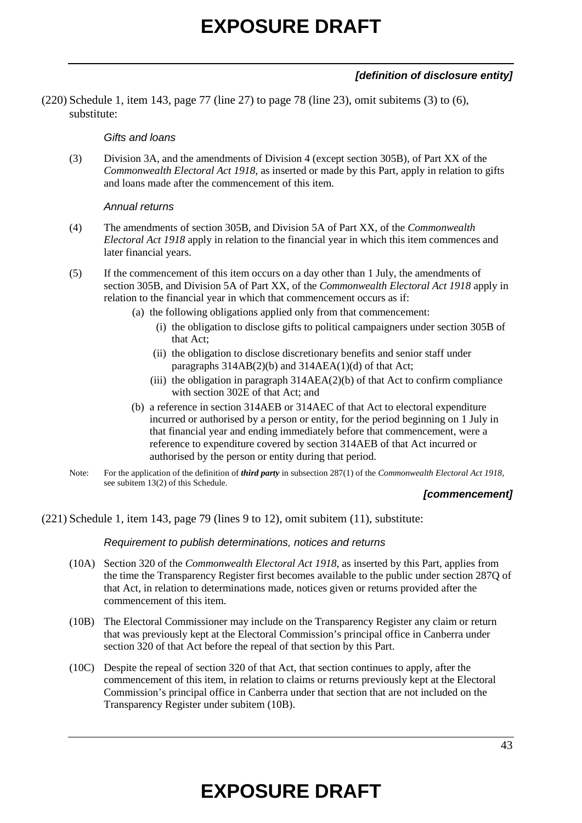## *[definition of disclosure entity]*

(220) Schedule 1, item 143, page 77 (line 27) to page 78 (line 23), omit subitems (3) to (6), substitute:

#### *Gifts and loans*

(3) Division 3A, and the amendments of Division 4 (except section 305B), of Part XX of the *Commonwealth Electoral Act 1918*, as inserted or made by this Part, apply in relation to gifts and loans made after the commencement of this item.

### *Annual returns*

- (4) The amendments of section 305B, and Division 5A of Part XX, of the *Commonwealth Electoral Act 1918* apply in relation to the financial year in which this item commences and later financial years.
- (5) If the commencement of this item occurs on a day other than 1 July, the amendments of section 305B, and Division 5A of Part XX, of the *Commonwealth Electoral Act 1918* apply in relation to the financial year in which that commencement occurs as if:
	- (a) the following obligations applied only from that commencement:
		- (i) the obligation to disclose gifts to political campaigners under section 305B of that Act;
		- (ii) the obligation to disclose discretionary benefits and senior staff under paragraphs 314AB(2)(b) and 314AEA(1)(d) of that Act;
		- (iii) the obligation in paragraph  $314AEA(2)(b)$  of that Act to confirm compliance with section 302E of that Act; and
	- (b) a reference in section 314AEB or 314AEC of that Act to electoral expenditure incurred or authorised by a person or entity, for the period beginning on 1 July in that financial year and ending immediately before that commencement, were a reference to expenditure covered by section 314AEB of that Act incurred or authorised by the person or entity during that period.
- Note: For the application of the definition of *third party* in subsection 287(1) of the *Commonwealth Electoral Act 1918*, see subitem 13(2) of this Schedule.

### *[commencement]*

### (221) Schedule 1, item 143, page 79 (lines 9 to 12), omit subitem (11), substitute:

*Requirement to publish determinations, notices and returns*

- (10A) Section 320 of the *Commonwealth Electoral Act 1918*, as inserted by this Part, applies from the time the Transparency Register first becomes available to the public under section 287Q of that Act, in relation to determinations made, notices given or returns provided after the commencement of this item.
- (10B) The Electoral Commissioner may include on the Transparency Register any claim or return that was previously kept at the Electoral Commission's principal office in Canberra under section 320 of that Act before the repeal of that section by this Part.
- (10C) Despite the repeal of section 320 of that Act, that section continues to apply, after the commencement of this item, in relation to claims or returns previously kept at the Electoral Commission's principal office in Canberra under that section that are not included on the Transparency Register under subitem (10B).